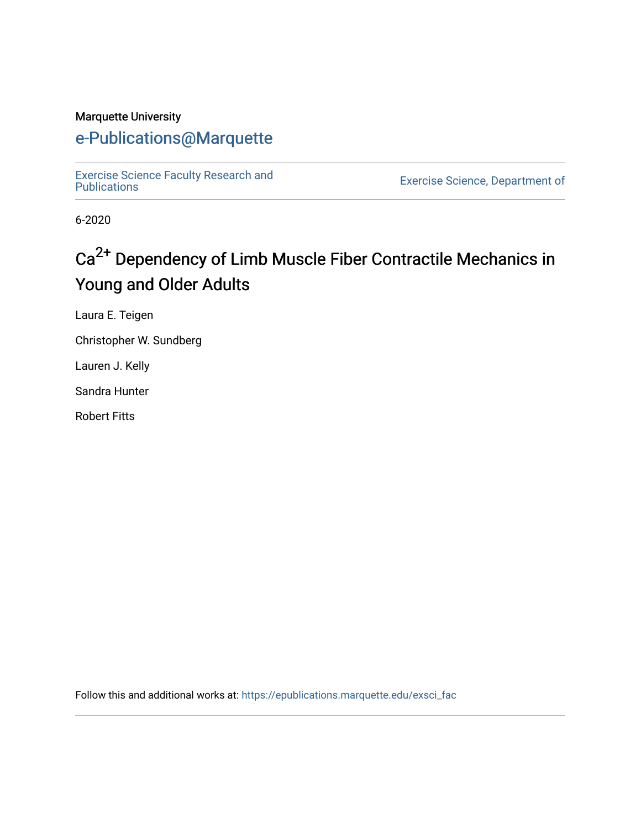#### Marquette University

# [e-Publications@Marquette](https://epublications.marquette.edu/)

[Exercise Science Faculty Research and](https://epublications.marquette.edu/exsci_fac)

Exercise Science, Department of

6-2020

# Ca<sup>2+</sup> Dependency of Limb Muscle Fiber Contractile Mechanics in Young and Older Adults

Laura E. Teigen

Christopher W. Sundberg

Lauren J. Kelly

Sandra Hunter

Robert Fitts

Follow this and additional works at: [https://epublications.marquette.edu/exsci\\_fac](https://epublications.marquette.edu/exsci_fac?utm_source=epublications.marquette.edu%2Fexsci_fac%2F189&utm_medium=PDF&utm_campaign=PDFCoverPages)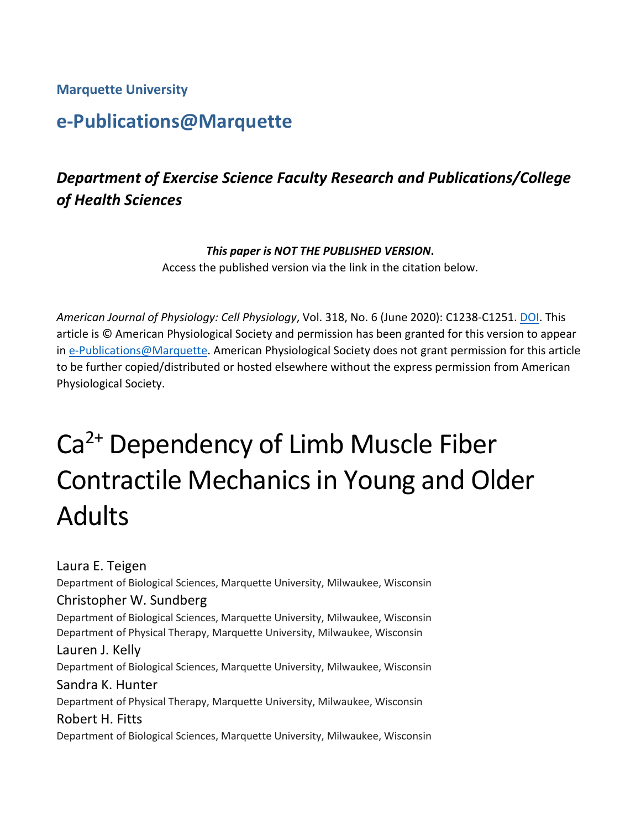**Marquette University**

# **e-Publications@Marquette**

# *Department of Exercise Science Faculty Research and Publications/College of Health Sciences*

#### *This paper is NOT THE PUBLISHED VERSION***.**

Access the published version via the link in the citation below.

*American Journal of Physiology: Cell Physiology*, Vol. 318, No. 6 (June 2020): C1238-C1251. [DOI.](http://doi.org/10.1152/ajpcell.00575.2019) This article is © American Physiological Society and permission has been granted for this version to appear in [e-Publications@Marquette.](http://epublications.marquette.edu/) American Physiological Society does not grant permission for this article to be further copied/distributed or hosted elsewhere without the express permission from American Physiological Society.

# Ca<sup>2+</sup> Dependency of Limb Muscle Fiber Contractile Mechanics in Young and Older Adults

Laura E. Teigen Department of Biological Sciences, Marquette University, Milwaukee, Wisconsin Christopher W. Sundberg Department of Biological Sciences, Marquette University, Milwaukee, Wisconsin Department of Physical Therapy, Marquette University, Milwaukee, Wisconsin Lauren J. Kelly Department of Biological Sciences, Marquette University, Milwaukee, Wisconsin Sandra K. Hunter Department of Physical Therapy, Marquette University, Milwaukee, Wisconsin Robert H. Fitts Department of Biological Sciences, Marquette University, Milwaukee, Wisconsin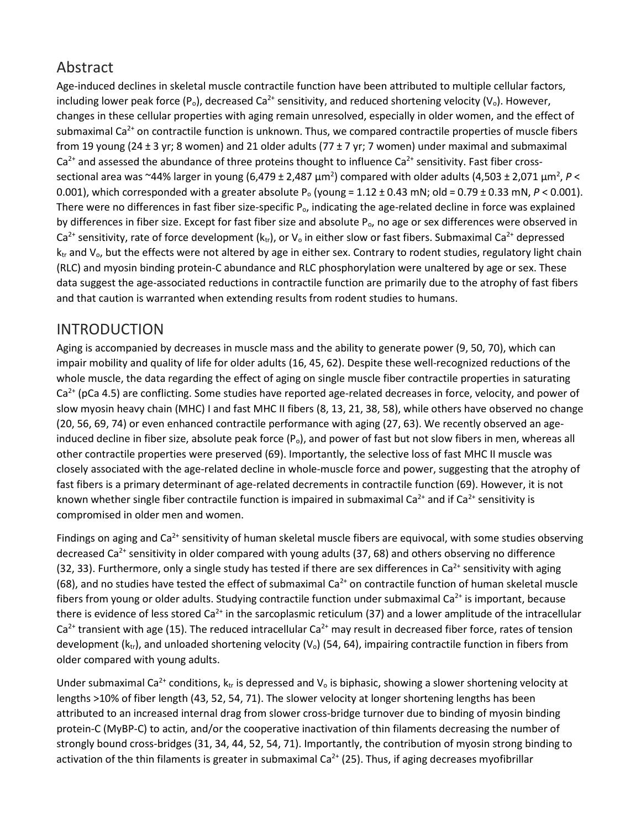# Abstract

Age-induced declines in skeletal muscle contractile function have been attributed to multiple cellular factors, including lower peak force  $(P_0)$ , decreased Ca<sup>2+</sup> sensitivity, and reduced shortening velocity (V<sub>o</sub>). However, changes in these cellular properties with aging remain unresolved, especially in older women, and the effect of submaximal Ca<sup>2+</sup> on contractile function is unknown. Thus, we compared contractile properties of muscle fibers from 19 young (24 ± 3 yr; 8 women) and 21 older adults (77 ± 7 yr; 7 women) under maximal and submaximal  $Ca<sup>2+</sup>$  and assessed the abundance of three proteins thought to influence  $Ca<sup>2+</sup>$  sensitivity. Fast fiber crosssectional area was ~44% larger in young (6,479 ± 2,487  $\mu$ m<sup>2</sup>) compared with older adults (4,503 ± 2,071  $\mu$ m<sup>2</sup>, P < 0.001), which corresponded with a greater absolute P<sub>o</sub> (young =  $1.12 \pm 0.43$  mN; old =  $0.79 \pm 0.33$  mN,  $P < 0.001$ ). There were no differences in fast fiber size-specific  $P_0$ , indicating the age-related decline in force was explained by differences in fiber size. Except for fast fiber size and absolute  $P_0$ , no age or sex differences were observed in Ca<sup>2+</sup> sensitivity, rate of force development ( $k_{tr}$ ), or  $V_0$  in either slow or fast fibers. Submaximal Ca<sup>2+</sup> depressed  $k_{tr}$  and  $V_o$ , but the effects were not altered by age in either sex. Contrary to rodent studies, regulatory light chain (RLC) and myosin binding protein-C abundance and RLC phosphorylation were unaltered by age or sex. These data suggest the age-associated reductions in contractile function are primarily due to the atrophy of fast fibers and that caution is warranted when extending results from rodent studies to humans.

# INTRODUCTION

Aging is accompanied by decreases in muscle mass and the ability to generate power (9, 50, 70), which can impair mobility and quality of life for older adults (16, 45, 62). Despite these well-recognized reductions of the whole muscle, the data regarding the effect of aging on single muscle fiber contractile properties in saturating  $Ca<sup>2+</sup>$  (pCa 4.5) are conflicting. Some studies have reported age-related decreases in force, velocity, and power of slow myosin heavy chain (MHC) I and fast MHC II fibers (8, 13, 21, 38, 58), while others have observed no change (20, 56, 69, 74) or even enhanced contractile performance with aging (27, 63). We recently observed an ageinduced decline in fiber size, absolute peak force  $(P_0)$ , and power of fast but not slow fibers in men, whereas all other contractile properties were preserved (69). Importantly, the selective loss of fast MHC II muscle was closely associated with the age-related decline in whole-muscle force and power, suggesting that the atrophy of fast fibers is a primary determinant of age-related decrements in contractile function (69). However, it is not known whether single fiber contractile function is impaired in submaximal Ca<sup>2+</sup> and if Ca<sup>2+</sup> sensitivity is compromised in older men and women.

Findings on aging and  $Ca<sup>2+</sup>$  sensitivity of human skeletal muscle fibers are equivocal, with some studies observing decreased Ca<sup>2+</sup> sensitivity in older compared with young adults (37, 68) and others observing no difference (32, 33). Furthermore, only a single study has tested if there are sex differences in Ca<sup>2+</sup> sensitivity with aging (68), and no studies have tested the effect of submaximal Ca<sup>2+</sup> on contractile function of human skeletal muscle fibers from young or older adults. Studying contractile function under submaximal Ca<sup>2+</sup> is important, because there is evidence of less stored  $Ca<sup>2+</sup>$  in the sarcoplasmic reticulum (37) and a lower amplitude of the intracellular  $Ca<sup>2+</sup>$  transient with age (15). The reduced intracellular  $Ca<sup>2+</sup>$  may result in decreased fiber force, rates of tension development ( $k_{tr}$ ), and unloaded shortening velocity ( $V_0$ ) (54, 64), impairing contractile function in fibers from older compared with young adults.

Under submaximal Ca<sup>2+</sup> conditions,  $k_{tr}$  is depressed and  $V_0$  is biphasic, showing a slower shortening velocity at lengths >10% of fiber length (43, 52, 54, 71). The slower velocity at longer shortening lengths has been attributed to an increased internal drag from slower cross-bridge turnover due to binding of myosin binding protein-C (MyBP-C) to actin, and/or the cooperative inactivation of thin filaments decreasing the number of strongly bound cross-bridges (31, 34, 44, 52, 54, 71). Importantly, the contribution of myosin strong binding to activation of the thin filaments is greater in submaximal Ca<sup>2+</sup> (25). Thus, if aging decreases myofibrillar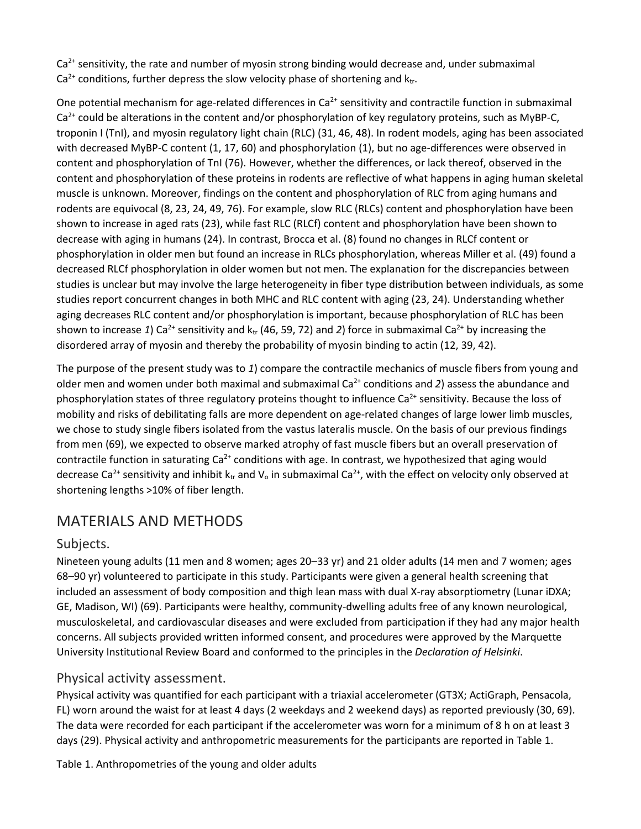$Ca<sup>2+</sup>$  sensitivity, the rate and number of myosin strong binding would decrease and, under submaximal  $Ca^{2+}$  conditions, further depress the slow velocity phase of shortening and  $k_{tr}$ .

One potential mechanism for age-related differences in  $Ca<sup>2+</sup>$  sensitivity and contractile function in submaximal  $Ca<sup>2+</sup>$  could be alterations in the content and/or phosphorylation of key regulatory proteins, such as MyBP-C, troponin I (TnI), and myosin regulatory light chain (RLC) (31, 46, 48). In rodent models, aging has been associated with decreased MyBP-C content (1, 17, 60) and phosphorylation (1), but no age-differences were observed in content and phosphorylation of TnI (76). However, whether the differences, or lack thereof, observed in the content and phosphorylation of these proteins in rodents are reflective of what happens in aging human skeletal muscle is unknown. Moreover, findings on the content and phosphorylation of RLC from aging humans and rodents are equivocal (8, 23, 24, 49, 76). For example, slow RLC (RLCs) content and phosphorylation have been shown to increase in aged rats (23), while fast RLC (RLCf) content and phosphorylation have been shown to decrease with aging in humans (24). In contrast, Brocca et al. (8) found no changes in RLCf content or phosphorylation in older men but found an increase in RLCs phosphorylation, whereas Miller et al. (49) found a decreased RLCf phosphorylation in older women but not men. The explanation for the discrepancies between studies is unclear but may involve the large heterogeneity in fiber type distribution between individuals, as some studies report concurrent changes in both MHC and RLC content with aging (23, 24). Understanding whether aging decreases RLC content and/or phosphorylation is important, because phosphorylation of RLC has been shown to increase 1) Ca<sup>2+</sup> sensitivity and  $k_{tr}$  (46, 59, 72) and 2) force in submaximal Ca<sup>2+</sup> by increasing the disordered array of myosin and thereby the probability of myosin binding to actin (12, 39, 42).

The purpose of the present study was to *1*) compare the contractile mechanics of muscle fibers from young and older men and women under both maximal and submaximal Ca2+ conditions and *2*) assess the abundance and phosphorylation states of three regulatory proteins thought to influence  $Ca^{2+}$  sensitivity. Because the loss of mobility and risks of debilitating falls are more dependent on age-related changes of large lower limb muscles, we chose to study single fibers isolated from the vastus lateralis muscle. On the basis of our previous findings from men (69), we expected to observe marked atrophy of fast muscle fibers but an overall preservation of contractile function in saturating  $Ca<sup>2+</sup>$  conditions with age. In contrast, we hypothesized that aging would decrease Ca<sup>2+</sup> sensitivity and inhibit k<sub>tr</sub> and V<sub>o</sub> in submaximal Ca<sup>2+</sup>, with the effect on velocity only observed at shortening lengths >10% of fiber length.

# MATERIALS AND METHODS

#### Subjects.

Nineteen young adults (11 men and 8 women; ages 20–33 yr) and 21 older adults (14 men and 7 women; ages 68–90 yr) volunteered to participate in this study. Participants were given a general health screening that included an assessment of body composition and thigh lean mass with dual X-ray absorptiometry (Lunar iDXA; GE, Madison, WI) (69). Participants were healthy, community-dwelling adults free of any known neurological, musculoskeletal, and cardiovascular diseases and were excluded from participation if they had any major health concerns. All subjects provided written informed consent, and procedures were approved by the Marquette University Institutional Review Board and conformed to the principles in the *Declaration of Helsinki*.

#### Physical activity assessment.

Physical activity was quantified for each participant with a triaxial accelerometer (GT3X; ActiGraph, Pensacola, FL) worn around the waist for at least 4 days (2 weekdays and 2 weekend days) as reported previously (30, 69). The data were recorded for each participant if the accelerometer was worn for a minimum of 8 h on at least 3 days (29). Physical activity and anthropometric measurements for the participants are reported in Table 1.

Table 1. Anthropometries of the young and older adults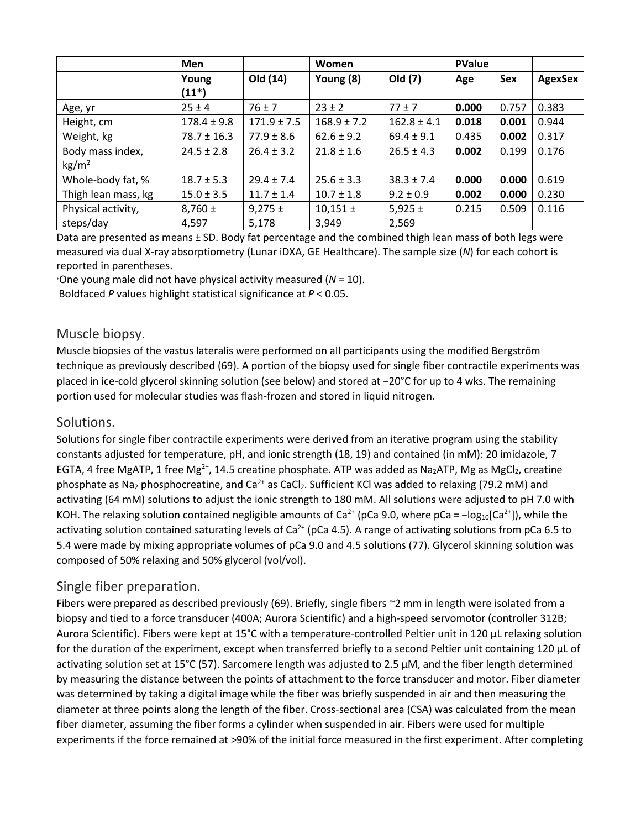|                     | Men             |                 | Women           |                 | <b>PValue</b> |            |                |
|---------------------|-----------------|-----------------|-----------------|-----------------|---------------|------------|----------------|
|                     | Young           | Old (14)        | Young (8)       | Old (7)         | Age           | <b>Sex</b> | <b>AgexSex</b> |
|                     | $(11*)$         |                 |                 |                 |               |            |                |
| Age, yr             | $25 \pm 4$      | $76 \pm 7$      | $23 \pm 2$      | $77 \pm 7$      | 0.000         | 0.757      | 0.383          |
| Height, cm          | $178.4 \pm 9.8$ | $171.9 \pm 7.5$ | $168.9 \pm 7.2$ | $162.8 \pm 4.1$ | 0.018         | 0.001      | 0.944          |
| Weight, kg          | $78.7 \pm 16.3$ | $77.9 \pm 8.6$  | $62.6 \pm 9.2$  | $69.4 \pm 9.1$  | 0.435         | 0.002      | 0.317          |
| Body mass index,    | $24.5 \pm 2.8$  | $26.4 \pm 3.2$  | $21.8 \pm 1.6$  | $26.5 \pm 4.3$  | 0.002         | 0.199      | 0.176          |
| $\text{kg/m}^2$     |                 |                 |                 |                 |               |            |                |
| Whole-body fat, %   | $18.7 \pm 5.3$  | $29.4 \pm 7.4$  | $25.6 \pm 3.3$  | $38.3 \pm 7.4$  | 0.000         | 0.000      | 0.619          |
| Thigh lean mass, kg | $15.0 \pm 3.5$  | $11.7 \pm 1.4$  | $10.7 \pm 1.8$  | $9.2 \pm 0.9$   | 0.002         | 0.000      | 0.230          |
| Physical activity,  | $8,760 \pm$     | $9,275 \pm$     | $10,151 \pm$    | $5,925 \pm$     | 0.215         | 0.509      | 0.116          |
| steps/day           | 4,597           | 5,178           | 3,949           | 2,569           |               |            |                |

Data are presented as means ± SD. Body fat percentage and the combined thigh lean mass of both legs were measured via dual X-ray absorptiometry (Lunar iDXA, GE Healthcare). The sample size (*N*) for each cohort is reported in parentheses.

\*One young male did not have physical activity measured (*N* = 10).

Boldfaced *P* values highlight statistical significance at *P* < 0.05.

#### Muscle biopsy.

Muscle biopsies of the vastus lateralis were performed on all participants using the modified Bergström technique as previously described (69). A portion of the biopsy used for single fiber contractile experiments was placed in ice-cold glycerol skinning solution (see below) and stored at −20°C for up to 4 wks. The remaining portion used for molecular studies was flash-frozen and stored in liquid nitrogen.

#### Solutions.

Solutions for single fiber contractile experiments were derived from an iterative program using the stability constants adjusted for temperature, pH, and ionic strength (18, 19) and contained (in mM): 20 imidazole, 7 EGTA, 4 free MgATP, 1 free Mg<sup>2+</sup>, 14.5 creatine phosphate. ATP was added as Na<sub>2</sub>ATP, Mg as MgCl<sub>2</sub>, creatine phosphate as Na<sub>2</sub> phosphocreatine, and Ca<sup>2+</sup> as CaCl<sub>2</sub>. Sufficient KCl was added to relaxing (79.2 mM) and activating (64 mM) solutions to adjust the ionic strength to 180 mM. All solutions were adjusted to pH 7.0 with KOH. The relaxing solution contained negligible amounts of Ca<sup>2+</sup> (pCa 9.0, where pCa =  $-log_{10}[Ca^{2+}]$ ), while the activating solution contained saturating levels of Ca<sup>2+</sup> (pCa 4.5). A range of activating solutions from pCa 6.5 to 5.4 were made by mixing appropriate volumes of pCa 9.0 and 4.5 solutions (77). Glycerol skinning solution was composed of 50% relaxing and 50% glycerol (vol/vol).

#### Single fiber preparation.

Fibers were prepared as described previously (69). Briefly, single fibers ~2 mm in length were isolated from a biopsy and tied to a force transducer (400A; Aurora Scientific) and a high-speed servomotor (controller 312B; Aurora Scientific). Fibers were kept at 15°C with a temperature-controlled Peltier unit in 120 µL relaxing solution for the duration of the experiment, except when transferred briefly to a second Peltier unit containing 120 µL of activating solution set at 15°C (57). Sarcomere length was adjusted to 2.5 µM, and the fiber length determined by measuring the distance between the points of attachment to the force transducer and motor. Fiber diameter was determined by taking a digital image while the fiber was briefly suspended in air and then measuring the diameter at three points along the length of the fiber. Cross-sectional area (CSA) was calculated from the mean fiber diameter, assuming the fiber forms a cylinder when suspended in air. Fibers were used for multiple experiments if the force remained at >90% of the initial force measured in the first experiment. After completing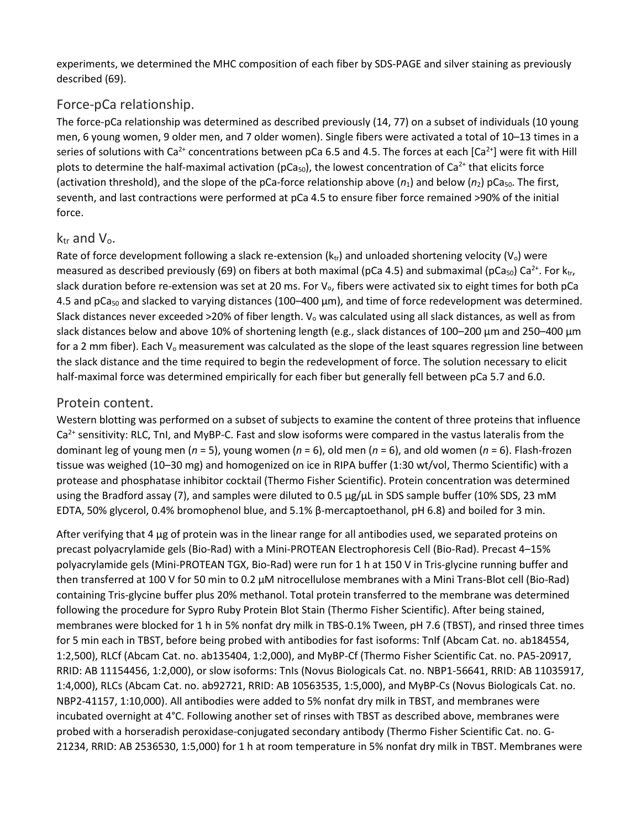experiments, we determined the MHC composition of each fiber by SDS-PAGE and silver staining as previously described (69).

#### Force-pCa relationship.

The force-pCa relationship was determined as described previously (14, 77) on a subset of individuals (10 young men, 6 young women, 9 older men, and 7 older women). Single fibers were activated a total of 10–13 times in a series of solutions with Ca<sup>2+</sup> concentrations between pCa 6.5 and 4.5. The forces at each [Ca<sup>2+</sup>] were fit with Hill plots to determine the half-maximal activation ( $pCa<sub>50</sub>$ ), the lowest concentration of Ca<sup>2+</sup> that elicits force (activation threshold), and the slope of the pCa-force relationship above  $(n_1)$  and below  $(n_2)$  pCa<sub>50</sub>. The first, seventh, and last contractions were performed at pCa 4.5 to ensure fiber force remained >90% of the initial force.

#### $k_{tr}$  and  $V_{0}$ .

Rate of force development following a slack re-extension ( $k_{tr}$ ) and unloaded shortening velocity ( $V_o$ ) were measured as described previously (69) on fibers at both maximal (pCa 4.5) and submaximal (pCa<sub>50</sub>) Ca<sup>2+</sup>. For ktr, slack duration before re-extension was set at 20 ms. For V<sub>o</sub>, fibers were activated six to eight times for both pCa 4.5 and pCa<sub>50</sub> and slacked to varying distances (100–400 µm), and time of force redevelopment was determined. Slack distances never exceeded >20% of fiber length.  $V_0$  was calculated using all slack distances, as well as from slack distances below and above 10% of shortening length (e.g., slack distances of 100–200 µm and 250–400 µm for a 2 mm fiber). Each  $V_0$  measurement was calculated as the slope of the least squares regression line between the slack distance and the time required to begin the redevelopment of force. The solution necessary to elicit half-maximal force was determined empirically for each fiber but generally fell between pCa 5.7 and 6.0.

#### Protein content.

Western blotting was performed on a subset of subjects to examine the content of three proteins that influence  $Ca<sup>2+</sup>$  sensitivity: RLC, TnI, and MyBP-C. Fast and slow isoforms were compared in the vastus lateralis from the dominant leg of young men (*n* = 5), young women (*n* = 6), old men (*n* = 6), and old women (*n* = 6). Flash-frozen tissue was weighed (10–30 mg) and homogenized on ice in RIPA buffer (1:30 wt/vol, Thermo Scientific) with a protease and phosphatase inhibitor cocktail (Thermo Fisher Scientific). Protein concentration was determined using the Bradford assay (7), and samples were diluted to 0.5 μg/μL in SDS sample buffer (10% SDS, 23 mM EDTA, 50% glycerol, 0.4% bromophenol blue, and 5.1% β-mercaptoethanol, pH 6.8) and boiled for 3 min.

After verifying that 4 µg of protein was in the linear range for all antibodies used, we separated proteins on precast polyacrylamide gels (Bio-Rad) with a Mini-PROTEAN Electrophoresis Cell (Bio-Rad). Precast 4–15% polyacrylamide gels (Mini-PROTEAN TGX, Bio-Rad) were run for 1 h at 150 V in Tris-glycine running buffer and then transferred at 100 V for 50 min to 0.2 μM nitrocellulose membranes with a Mini Trans-Blot cell (Bio-Rad) containing Tris-glycine buffer plus 20% methanol. Total protein transferred to the membrane was determined following the procedure for Sypro Ruby Protein Blot Stain (Thermo Fisher Scientific). After being stained, membranes were blocked for 1 h in 5% nonfat dry milk in TBS-0.1% Tween, pH 7.6 (TBST), and rinsed three times for 5 min each in TBST, before being probed with antibodies for fast isoforms: TnIf (Abcam Cat. no. ab184554, 1:2,500), RLCf (Abcam Cat. no. ab135404, 1:2,000), and MyBP-Cf (Thermo Fisher Scientific Cat. no. PA5-20917, RRID: AB 11154456, 1:2,000), or slow isoforms: TnIs (Novus Biologicals Cat. no. NBP1-56641, RRID: AB 11035917, 1:4,000), RLCs (Abcam Cat. no. ab92721, RRID: AB 10563535, 1:5,000), and MyBP-Cs (Novus Biologicals Cat. no. NBP2-41157, 1:10,000). All antibodies were added to 5% nonfat dry milk in TBST, and membranes were incubated overnight at 4°C. Following another set of rinses with TBST as described above, membranes were probed with a horseradish peroxidase-conjugated secondary antibody (Thermo Fisher Scientific Cat. no. G-21234, RRID: AB 2536530, 1:5,000) for 1 h at room temperature in 5% nonfat dry milk in TBST. Membranes were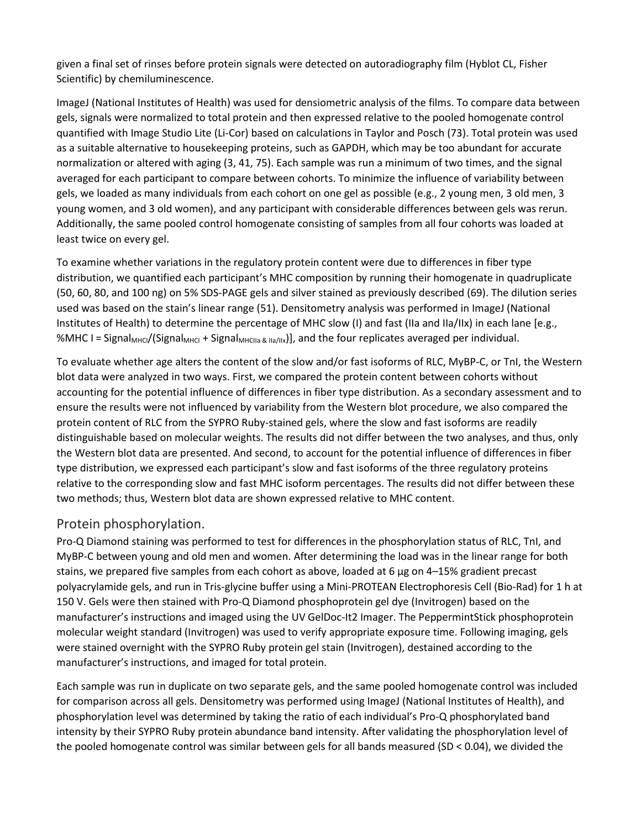given a final set of rinses before protein signals were detected on autoradiography film (Hyblot CL, Fisher Scientific) by chemiluminescence.

ImageJ (National Institutes of Health) was used for densiometric analysis of the films. To compare data between gels, signals were normalized to total protein and then expressed relative to the pooled homogenate control quantified with Image Studio Lite (Li-Cor) based on calculations in Taylor and Posch (73). Total protein was used as a suitable alternative to housekeeping proteins, such as GAPDH, which may be too abundant for accurate normalization or altered with aging (3, 41, 75). Each sample was run a minimum of two times, and the signal averaged for each participant to compare between cohorts. To minimize the influence of variability between gels, we loaded as many individuals from each cohort on one gel as possible (e.g., 2 young men, 3 old men, 3 young women, and 3 old women), and any participant with considerable differences between gels was rerun. Additionally, the same pooled control homogenate consisting of samples from all four cohorts was loaded at least twice on every gel.

To examine whether variations in the regulatory protein content were due to differences in fiber type distribution, we quantified each participant's MHC composition by running their homogenate in quadruplicate (50, 60, 80, and 100 ng) on 5% SDS-PAGE gels and silver stained as previously described (69). The dilution series used was based on the stain's linear range (51). Densitometry analysis was performed in ImageJ (National Institutes of Health) to determine the percentage of MHC slow (I) and fast (IIa and IIa/IIx) in each lane [e.g., %MHC I = Signal<sub>MHCI</sub>/(Signal<sub>MHCI</sub> + Signal<sub>MHCIIa & IIa/IIx</sub>)], and the four replicates averaged per individual.

To evaluate whether age alters the content of the slow and/or fast isoforms of RLC, MyBP-C, or TnI, the Western blot data were analyzed in two ways. First, we compared the protein content between cohorts without accounting for the potential influence of differences in fiber type distribution. As a secondary assessment and to ensure the results were not influenced by variability from the Western blot procedure, we also compared the protein content of RLC from the SYPRO Ruby-stained gels, where the slow and fast isoforms are readily distinguishable based on molecular weights. The results did not differ between the two analyses, and thus, only the Western blot data are presented. And second, to account for the potential influence of differences in fiber type distribution, we expressed each participant's slow and fast isoforms of the three regulatory proteins relative to the corresponding slow and fast MHC isoform percentages. The results did not differ between these two methods; thus, Western blot data are shown expressed relative to MHC content.

#### Protein phosphorylation.

Pro-Q Diamond staining was performed to test for differences in the phosphorylation status of RLC, TnI, and MyBP-C between young and old men and women. After determining the load was in the linear range for both stains, we prepared five samples from each cohort as above, loaded at 6 μg on 4–15% gradient precast polyacrylamide gels, and run in Tris-glycine buffer using a Mini-PROTEAN Electrophoresis Cell (Bio-Rad) for 1 h at 150 V. Gels were then stained with Pro-Q Diamond phosphoprotein gel dye (Invitrogen) based on the manufacturer's instructions and imaged using the UV GelDoc-It2 Imager. The PeppermintStick phosphoprotein molecular weight standard (Invitrogen) was used to verify appropriate exposure time. Following imaging, gels were stained overnight with the SYPRO Ruby protein gel stain (Invitrogen), destained according to the manufacturer's instructions, and imaged for total protein.

Each sample was run in duplicate on two separate gels, and the same pooled homogenate control was included for comparison across all gels. Densitometry was performed using ImageJ (National Institutes of Health), and phosphorylation level was determined by taking the ratio of each individual's Pro-Q phosphorylated band intensity by their SYPRO Ruby protein abundance band intensity. After validating the phosphorylation level of the pooled homogenate control was similar between gels for all bands measured (SD < 0.04), we divided the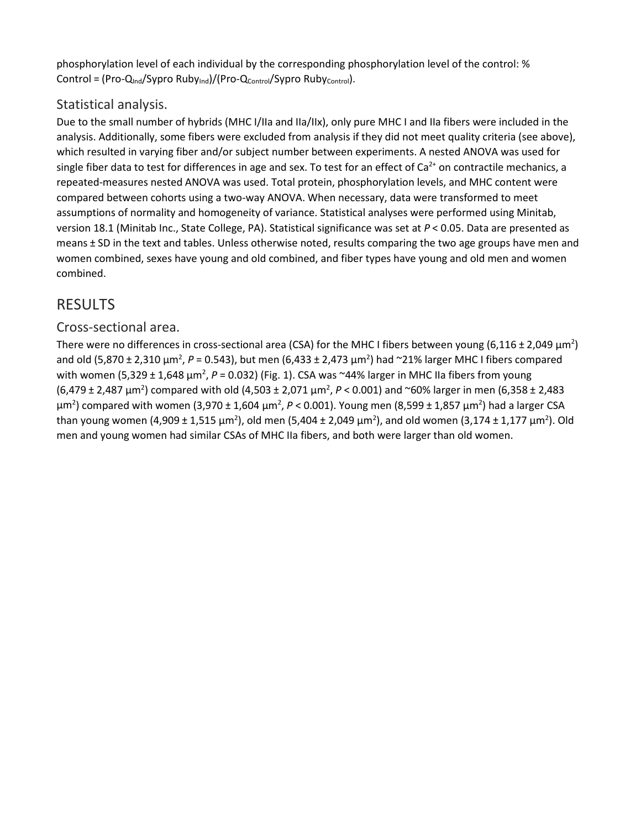phosphorylation level of each individual by the corresponding phosphorylation level of the control: % Control = (Pro-Q<sub>Ind</sub>/Sypro Ruby<sub>Ind</sub>)/(Pro-Qcontrol/Sypro Rubycontrol).

#### Statistical analysis.

Due to the small number of hybrids (MHC I/IIa and IIa/IIx), only pure MHC I and IIa fibers were included in the analysis. Additionally, some fibers were excluded from analysis if they did not meet quality criteria (see above), which resulted in varying fiber and/or subject number between experiments. A nested ANOVA was used for single fiber data to test for differences in age and sex. To test for an effect of  $Ca<sup>2+</sup>$  on contractile mechanics, a repeated-measures nested ANOVA was used. Total protein, phosphorylation levels, and MHC content were compared between cohorts using a two-way ANOVA. When necessary, data were transformed to meet assumptions of normality and homogeneity of variance. Statistical analyses were performed using Minitab, version 18.1 (Minitab Inc., State College, PA). Statistical significance was set at *P* < 0.05. Data are presented as means ± SD in the text and tables. Unless otherwise noted, results comparing the two age groups have men and women combined, sexes have young and old combined, and fiber types have young and old men and women combined.

# RESULTS

#### Cross-sectional area.

There were no differences in cross-sectional area (CSA) for the MHC I fibers between young (6,116 ± 2,049  $\mu$ m<sup>2</sup>) and old (5,870 ± 2,310 μm<sup>2</sup>, P = 0.543), but men (6,433 ± 2,473 μm<sup>2</sup>) had ~21% larger MHC I fibers compared with women (5,329 ± 1,648 μm<sup>2</sup>, P = 0.032) (Fig. 1). CSA was ~44% larger in MHC IIa fibers from young (6,479 ± 2,487 µm<sup>2</sup> ) compared with old (4,503 ± 2,071 µm<sup>2</sup> , *P* < 0.001) and ~60% larger in men (6,358 ± 2,483 μm<sup>2</sup>) compared with women (3,970 ± 1,604 μm<sup>2</sup>, P < 0.001). Young men (8,599 ± 1,857 μm<sup>2</sup>) had a larger CSA than young women (4,909 ± 1,515  $\mu$ m<sup>2</sup>), old men (5,404 ± 2,049  $\mu$ m<sup>2</sup>), and old women (3,174 ± 1,177  $\mu$ m<sup>2</sup>). Old men and young women had similar CSAs of MHC IIa fibers, and both were larger than old women.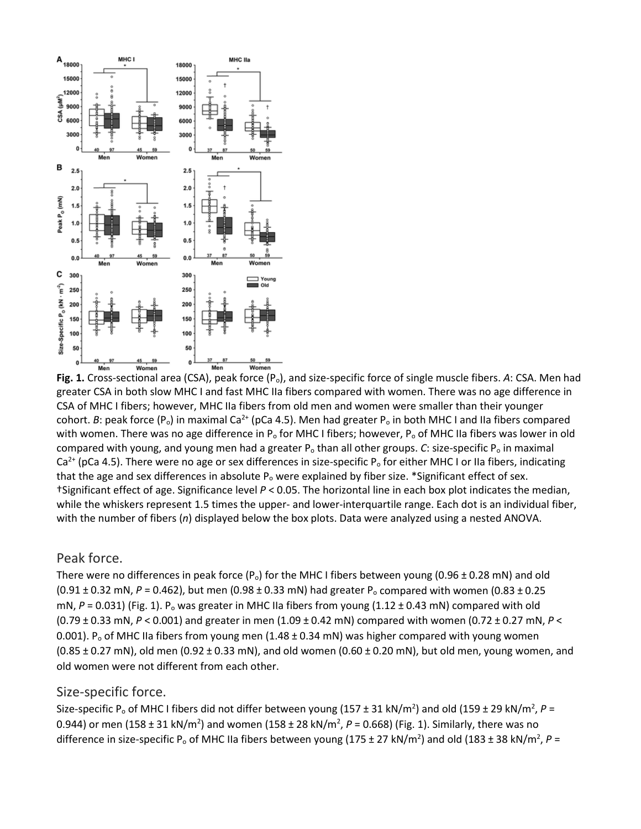

**Fig. 1.** Cross-sectional area (CSA), peak force (Po), and size-specific force of single muscle fibers. *A*: CSA. Men had greater CSA in both slow MHC I and fast MHC IIa fibers compared with women. There was no age difference in CSA of MHC I fibers; however, MHC IIa fibers from old men and women were smaller than their younger cohort. *B*: peak force ( $P_o$ ) in maximal Ca<sup>2+</sup> (pCa 4.5). Men had greater  $P_o$  in both MHC I and IIa fibers compared with women. There was no age difference in  $P_0$  for MHC I fibers; however,  $P_0$  of MHC IIa fibers was lower in old compared with young, and young men had a greater P<sub>o</sub> than all other groups. *C*: size-specific P<sub>o</sub> in maximal  $Ca<sup>2+</sup>$  (pCa 4.5). There were no age or sex differences in size-specific P<sub>o</sub> for either MHC I or IIa fibers, indicating that the age and sex differences in absolute  $P_0$  were explained by fiber size. \*Significant effect of sex. †Significant effect of age. Significance level *P* < 0.05. The horizontal line in each box plot indicates the median, while the whiskers represent 1.5 times the upper- and lower-interquartile range. Each dot is an individual fiber, with the number of fibers (*n*) displayed below the box plots. Data were analyzed using a nested ANOVA.

#### Peak force.

There were no differences in peak force (P<sub>o</sub>) for the MHC I fibers between young (0.96  $\pm$  0.28 mN) and old (0.91 ± 0.32 mN, *P* = 0.462), but men (0.98 ± 0.33 mN) had greater P<sub>o</sub> compared with women (0.83 ± 0.25 mN,  $P = 0.031$ ) (Fig. 1). P<sub>o</sub> was greater in MHC IIa fibers from young (1.12 ± 0.43 mN) compared with old (0.79 ± 0.33 mN, *P* < 0.001) and greater in men (1.09 ± 0.42 mN) compared with women (0.72 ± 0.27 mN, *P* < 0.001). P<sub>o</sub> of MHC IIa fibers from young men (1.48 ± 0.34 mN) was higher compared with young women (0.85 ± 0.27 mN), old men (0.92 ± 0.33 mN), and old women (0.60 ± 0.20 mN), but old men, young women, and old women were not different from each other.

#### Size-specific force.

Size-specific P<sub>o</sub> of MHC I fibers did not differ between young (157 ± 31 kN/m<sup>2</sup>) and old (159 ± 29 kN/m<sup>2</sup>, P = 0.944) or men (158 ± 31 kN/m<sup>2</sup>) and women (158 ± 28 kN/m<sup>2</sup>, P = 0.668) (Fig. 1). Similarly, there was no difference in size-specific P<sub>o</sub> of MHC IIa fibers between young (175 ± 27 kN/m<sup>2</sup>) and old (183 ± 38 kN/m<sup>2</sup>, P =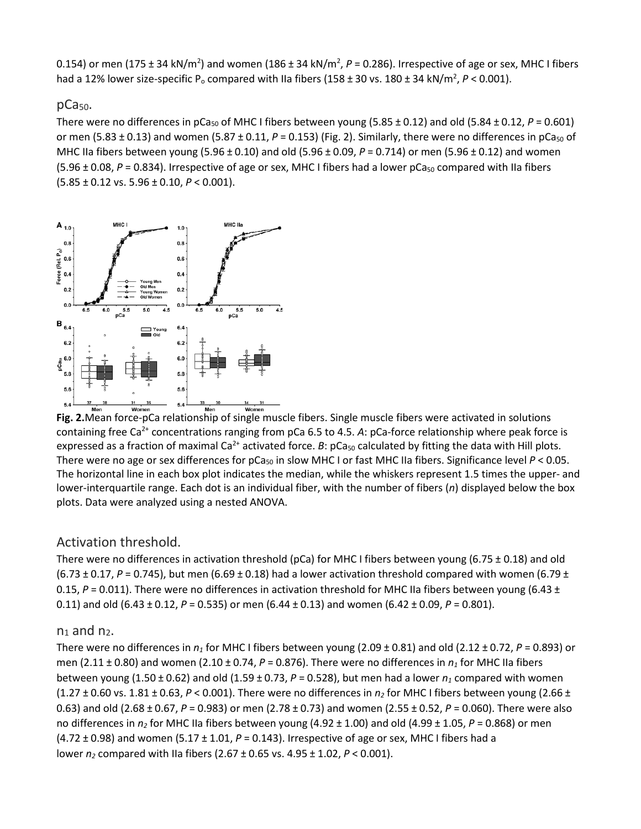0.154) or men (175 ± 34 kN/m<sup>2</sup>) and women (186 ± 34 kN/m<sup>2</sup>, P = 0.286). Irrespective of age or sex, MHC I fibers had a 12% lower size-specific P<sub>o</sub> compared with IIa fibers (158 ± 30 vs. 180 ± 34 kN/m<sup>2</sup>, P < 0.001).

#### $pCa<sub>50</sub>$ .

There were no differences in pCa<sub>50</sub> of MHC I fibers between young (5.85  $\pm$  0.12) and old (5.84  $\pm$  0.12, *P* = 0.601) or men (5.83  $\pm$  0.13) and women (5.87  $\pm$  0.11, P = 0.153) (Fig. 2). Similarly, there were no differences in pCa<sub>50</sub> of MHC IIa fibers between young (5.96 ± 0.10) and old (5.96 ± 0.09, *P* = 0.714) or men (5.96 ± 0.12) and women (5.96 ± 0.08, P = 0.834). Irrespective of age or sex, MHC I fibers had a lower pCa<sub>50</sub> compared with IIa fibers (5.85 ± 0.12 vs. 5.96 ± 0.10, *P* < 0.001).



**Fig. 2.**Mean force-pCa relationship of single muscle fibers. Single muscle fibers were activated in solutions containing free Ca<sup>2+</sup> concentrations ranging from pCa 6.5 to 4.5. A: pCa-force relationship where peak force is expressed as a fraction of maximal Ca<sup>2+</sup> activated force. *B*: pCa<sub>50</sub> calculated by fitting the data with Hill plots. There were no age or sex differences for  $pCa_{50}$  in slow MHC I or fast MHC IIa fibers. Significance level  $P < 0.05$ . The horizontal line in each box plot indicates the median, while the whiskers represent 1.5 times the upper- and lower-interquartile range. Each dot is an individual fiber, with the number of fibers (*n*) displayed below the box plots. Data were analyzed using a nested ANOVA.

#### Activation threshold.

There were no differences in activation threshold (pCa) for MHC I fibers between young (6.75  $\pm$  0.18) and old (6.73  $\pm$  0.17, *P* = 0.745), but men (6.69  $\pm$  0.18) had a lower activation threshold compared with women (6.79  $\pm$ 0.15,  $P = 0.011$ ). There were no differences in activation threshold for MHC IIa fibers between young (6.43 ± 0.11) and old (6.43 ± 0.12, *P* = 0.535) or men (6.44 ± 0.13) and women (6.42 ± 0.09, *P* = 0.801).

#### $n_1$  and  $n_2$ .

There were no differences in  $n_1$  for MHC I fibers between young (2.09  $\pm$  0.81) and old (2.12  $\pm$  0.72, *P* = 0.893) or men (2.11 ± 0.80) and women (2.10 ± 0.74, *P* = 0.876). There were no differences in *n1* for MHC IIa fibers between young (1.50  $\pm$  0.62) and old (1.59  $\pm$  0.73, P = 0.528), but men had a lower  $n_1$  compared with women  $(1.27 \pm 0.60 \text{ vs. } 1.81 \pm 0.63, P < 0.001)$ . There were no differences in  $n<sub>2</sub>$  for MHC I fibers between young  $(2.66 \pm 1.001)$ 0.63) and old (2.68 ± 0.67, *P* = 0.983) or men (2.78 ± 0.73) and women (2.55 ± 0.52, *P* = 0.060). There were also no differences in  $n_2$  for MHC IIa fibers between young (4.92 ± 1.00) and old (4.99 ± 1.05, *P* = 0.868) or men (4.72 ± 0.98) and women (5.17 ± 1.01, *P* = 0.143). Irrespective of age or sex, MHC I fibers had a lower *n2* compared with IIa fibers (2.67 ± 0.65 vs. 4.95 ± 1.02, *P* < 0.001).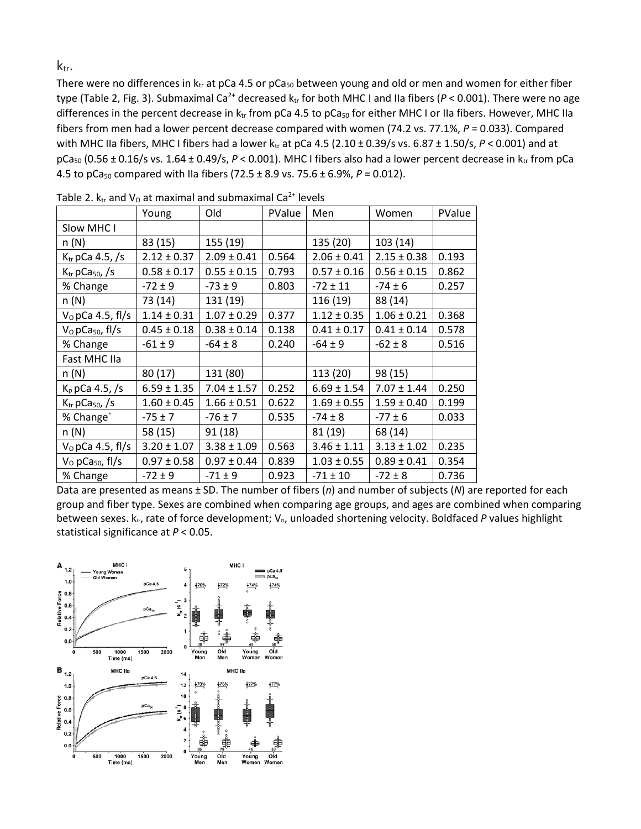k<sub>tr</sub>.

There were no differences in  $k_{tr}$  at pCa 4.5 or pCa<sub>50</sub> between young and old or men and women for either fiber type (Table 2, Fig. 3). Submaximal Ca<sup>2+</sup> decreased  $k_{tr}$  for both MHC I and IIa fibers ( $P < 0.001$ ). There were no age differences in the percent decrease in  $k_{tr}$  from pCa 4.5 to pCa<sub>50</sub> for either MHC I or IIa fibers. However, MHC IIa fibers from men had a lower percent decrease compared with women (74.2 vs. 77.1%, *P* = 0.033). Compared with MHC IIa fibers, MHC I fibers had a lower ktr at pCa 4.5 (2.10 ± 0.39/s vs. 6.87 ± 1.50/s, P < 0.001) and at  $pCa<sub>50</sub>$  (0.56 ± 0.16/s vs. 1.64 ± 0.49/s,  $P < 0.001$ ). MHC I fibers also had a lower percent decrease in  $k_{tr}$  from pCa 4.5 to pCa<sub>50</sub> compared with IIa fibers (72.5  $\pm$  8.9 vs. 75.6  $\pm$  6.9%, *P* = 0.012).

|                                         | Young           | Old             | PValue | Men             | Women           | PValue |
|-----------------------------------------|-----------------|-----------------|--------|-----------------|-----------------|--------|
| Slow MHC I                              |                 |                 |        |                 |                 |        |
| n(N)                                    | 83 (15)         | 155 (19)        |        | 135 (20)        | 103(14)         |        |
| $K_{tr}$ pCa 4.5, /s                    | $2.12 \pm 0.37$ | $2.09 \pm 0.41$ | 0.564  | $2.06 \pm 0.41$ | $2.15 \pm 0.38$ | 0.193  |
| $K_{tr}$ pCa <sub>50</sub> , /s         | $0.58 \pm 0.17$ | $0.55 \pm 0.15$ | 0.793  | $0.57 \pm 0.16$ | $0.56 \pm 0.15$ | 0.862  |
| % Change                                | $-72 \pm 9$     | $-73 \pm 9$     | 0.803  | $-72 \pm 11$    | $-74 \pm 6$     | 0.257  |
| n(N)                                    | 73 (14)         | 131 (19)        |        | 116 (19)        | 88 (14)         |        |
| $V0$ pCa 4.5, fl/s                      | $1.14 \pm 0.31$ | $1.07 \pm 0.29$ | 0.377  | $1.12 \pm 0.35$ | $1.06 \pm 0.21$ | 0.368  |
| V <sub>0</sub> pCa <sub>50</sub> , fl/s | $0.45 \pm 0.18$ | $0.38 \pm 0.14$ | 0.138  | $0.41 \pm 0.17$ | $0.41 \pm 0.14$ | 0.578  |
| % Change                                | $-61 \pm 9$     | $-64 \pm 8$     | 0.240  | $-64 \pm 9$     | $-62 \pm 8$     | 0.516  |
| Fast MHC IIa                            |                 |                 |        |                 |                 |        |
| n(N)                                    | 80(17)          | 131 (80)        |        | 113 (20)        | 98 (15)         |        |
| $K_p$ pCa 4.5, /s                       | $6.59 \pm 1.35$ | $7.04 \pm 1.57$ | 0.252  | $6.69 \pm 1.54$ | $7.07 \pm 1.44$ | 0.250  |
| $K_{tr}$ pCa <sub>50</sub> , /s         | $1.60 \pm 0.45$ | $1.66 \pm 0.51$ | 0.622  | $1.69 \pm 0.55$ | $1.59 \pm 0.40$ | 0.199  |
| % Change`                               | $-75 \pm 7$     | $-76 \pm 7$     | 0.535  | $-74 \pm 8$     | $-77 \pm 6$     | 0.033  |
| n(N)                                    | 58 (15)         | 91(18)          |        | 81 (19)         | 68 (14)         |        |
| $V0$ pCa 4.5, fl/s                      | $3.20 \pm 1.07$ | $3.38 \pm 1.09$ | 0.563  | $3.46 \pm 1.11$ | $3.13 \pm 1.02$ | 0.235  |
| $Vo$ pCa <sub>50</sub> , fl/s           | $0.97 \pm 0.58$ | $0.97 \pm 0.44$ | 0.839  | $1.03 \pm 0.55$ | $0.89 \pm 0.41$ | 0.354  |
| % Change                                | $-72 \pm 9$     | $-71 \pm 9$     | 0.923  | $-71 \pm 10$    | $-72 \pm 8$     | 0.736  |

Table 2.  $k_{tr}$  and  $V_0$  at maximal and submaximal Ca<sup>2+</sup> levels

Data are presented as means ± SD. The number of fibers (*n*) and number of subjects (*N*) are reported for each group and fiber type. Sexes are combined when comparing age groups, and ages are combined when comparing between sexes. k<sub>tr</sub>, rate of force development; V<sub>°</sub>, unloaded shortening velocity. Boldfaced P values highlight statistical significance at *P* < 0.05.

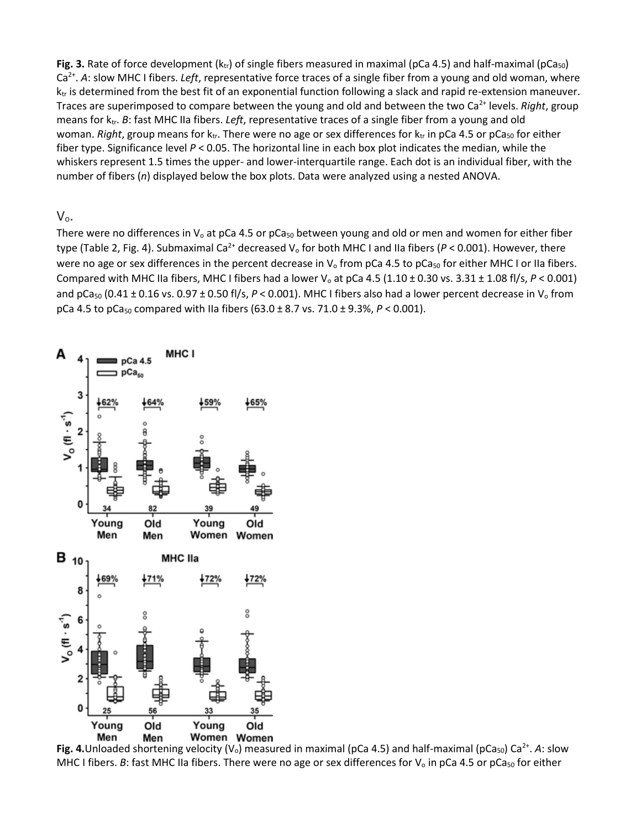**Fig. 3.** Rate of force development ( $k_{tr}$ ) of single fibers measured in maximal (pCa 4.5) and half-maximal (pCa<sub>50</sub>) Ca<sup>2+</sup>. A: slow MHC I fibers. *Left*, representative force traces of a single fiber from a young and old woman, where  $k_{tr}$  is determined from the best fit of an exponential function following a slack and rapid re-extension maneuver. Traces are superimposed to compare between the young and old and between the two Ca<sup>2+</sup> levels. *Right*, group means for ktr. *B*: fast MHC IIa fibers. *Left*, representative traces of a single fiber from a young and old woman. *Right*, group means for k<sub>tr</sub>. There were no age or sex differences for k<sub>tr</sub> in pCa 4.5 or pCa<sub>50</sub> for either fiber type. Significance level *P* < 0.05. The horizontal line in each box plot indicates the median, while the whiskers represent 1.5 times the upper- and lower-interquartile range. Each dot is an individual fiber, with the number of fibers (*n*) displayed below the box plots. Data were analyzed using a nested ANOVA.

 $V_{0}$ .

There were no differences in  $V_0$  at pCa 4.5 or pCa<sub>50</sub> between young and old or men and women for either fiber type (Table 2, Fig. 4). Submaximal Ca<sup>2+</sup> decreased V<sub>o</sub> for both MHC I and IIa fibers ( $P < 0.001$ ). However, there were no age or sex differences in the percent decrease in  $V_0$  from pCa 4.5 to pCa<sub>50</sub> for either MHC I or IIa fibers. Compared with MHC IIa fibers, MHC I fibers had a lower V<sub>o</sub> at pCa 4.5 (1.10  $\pm$  0.30 vs. 3.31  $\pm$  1.08 fl/s,  $P < 0.001$ ) and pCa<sub>50</sub> (0.41  $\pm$  0.16 vs. 0.97  $\pm$  0.50 fl/s,  $P < 0.001$ ). MHC I fibers also had a lower percent decrease in V<sub>o</sub> from pCa 4.5 to pCa50 compared with IIa fibers (63.0 ± 8.7 vs. 71.0 ± 9.3%, *P* < 0.001).



Fig. 4. Unloaded shortening velocity (V<sub>o</sub>) measured in maximal (pCa 4.5) and half-maximal (pCa<sub>50</sub>) Ca<sup>2+</sup>. A: slow MHC I fibers. *B*: fast MHC IIa fibers. There were no age or sex differences for  $V_0$  in pCa 4.5 or pCa<sub>50</sub> for either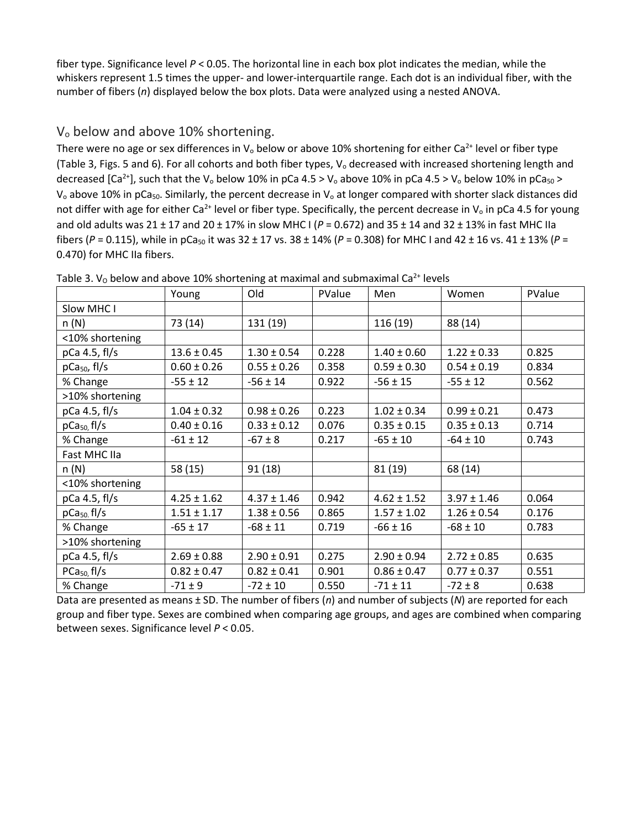fiber type. Significance level *P* < 0.05. The horizontal line in each box plot indicates the median, while the whiskers represent 1.5 times the upper- and lower-interquartile range. Each dot is an individual fiber, with the number of fibers (*n*) displayed below the box plots. Data were analyzed using a nested ANOVA.

#### V<sub>o</sub> below and above 10% shortening.

There were no age or sex differences in  $V_0$  below or above 10% shortening for either Ca<sup>2+</sup> level or fiber type (Table 3, Figs. 5 and 6). For all cohorts and both fiber types,  $V_0$  decreased with increased shortening length and decreased [Ca<sup>2+</sup>], such that the V<sub>o</sub> below 10% in pCa 4.5 > V<sub>o</sub> above 10% in pCa 4.5 > V<sub>o</sub> below 10% in pCa<sub>50</sub> >  $V_0$  above 10% in pCa<sub>50</sub>. Similarly, the percent decrease in  $V_0$  at longer compared with shorter slack distances did not differ with age for either Ca<sup>2+</sup> level or fiber type. Specifically, the percent decrease in  $V_0$  in pCa 4.5 for young and old adults was 21 ± 17 and 20 ± 17% in slow MHC I (*P* = 0.672) and 35 ± 14 and 32 ± 13% in fast MHC IIa fibers ( $P = 0.115$ ), while in pCa<sub>50</sub> it was 32 ± 17 vs. 38 ± 14% ( $P = 0.308$ ) for MHC I and 42 ± 16 vs. 41 ± 13% ( $P = 0.115$ ) 0.470) for MHC IIa fibers.

|                        | Young           | Old             | PValue | Men             | Women           | PValue |
|------------------------|-----------------|-----------------|--------|-----------------|-----------------|--------|
| Slow MHC I             |                 |                 |        |                 |                 |        |
| n(N)                   | 73 (14)         | 131 (19)        |        | 116 (19)        | 88 (14)         |        |
| <10% shortening        |                 |                 |        |                 |                 |        |
| $p$ Ca 4.5, fl/s       | $13.6 \pm 0.45$ | $1.30 \pm 0.54$ | 0.228  | $1.40 \pm 0.60$ | $1.22 \pm 0.33$ | 0.825  |
| $pCa50$ , fl/s         | $0.60 \pm 0.26$ | $0.55 \pm 0.26$ | 0.358  | $0.59 \pm 0.30$ | $0.54 \pm 0.19$ | 0.834  |
| % Change               | $-55 \pm 12$    | $-56 \pm 14$    | 0.922  | $-56 \pm 15$    | $-55 \pm 12$    | 0.562  |
| >10% shortening        |                 |                 |        |                 |                 |        |
| $p$ Ca 4.5, fl/s       | $1.04 \pm 0.32$ | $0.98 \pm 0.26$ | 0.223  | $1.02 \pm 0.34$ | $0.99 \pm 0.21$ | 0.473  |
| $pCa50$ fl/s           | $0.40 \pm 0.16$ | $0.33 \pm 0.12$ | 0.076  | $0.35 \pm 0.15$ | $0.35 \pm 0.13$ | 0.714  |
| % Change               | $-61 \pm 12$    | $-67 \pm 8$     | 0.217  | $-65 \pm 10$    | $-64 \pm 10$    | 0.743  |
| <b>Fast MHC IIa</b>    |                 |                 |        |                 |                 |        |
| n(N)                   | 58 (15)         | 91(18)          |        | 81 (19)         | 68 (14)         |        |
| <10% shortening        |                 |                 |        |                 |                 |        |
| $p$ Ca 4.5, fl/s       | $4.25 \pm 1.62$ | $4.37 \pm 1.46$ | 0.942  | $4.62 \pm 1.52$ | $3.97 \pm 1.46$ | 0.064  |
| pCa <sub>50</sub> fl/s | $1.51 \pm 1.17$ | $1.38 \pm 0.56$ | 0.865  | $1.57 \pm 1.02$ | $1.26 \pm 0.54$ | 0.176  |
| % Change               | $-65 \pm 17$    | $-68 \pm 11$    | 0.719  | $-66 \pm 16$    | $-68 \pm 10$    | 0.783  |
| >10% shortening        |                 |                 |        |                 |                 |        |
| $p$ Ca 4.5, fl/s       | $2.69 \pm 0.88$ | $2.90 \pm 0.91$ | 0.275  | $2.90 \pm 0.94$ | $2.72 \pm 0.85$ | 0.635  |
| $PCa50$ , fl/s         | $0.82 \pm 0.47$ | $0.82 \pm 0.41$ | 0.901  | $0.86 \pm 0.47$ | $0.77 \pm 0.37$ | 0.551  |
| % Change               | $-71 \pm 9$     | $-72 \pm 10$    | 0.550  | $-71 \pm 11$    | $-72 \pm 8$     | 0.638  |

Table 3.  $V_0$  below and above 10% shortening at maximal and submaximal Ca<sup>2+</sup> levels

Data are presented as means ± SD. The number of fibers (*n*) and number of subjects (*N*) are reported for each group and fiber type. Sexes are combined when comparing age groups, and ages are combined when comparing between sexes. Significance level *P* < 0.05.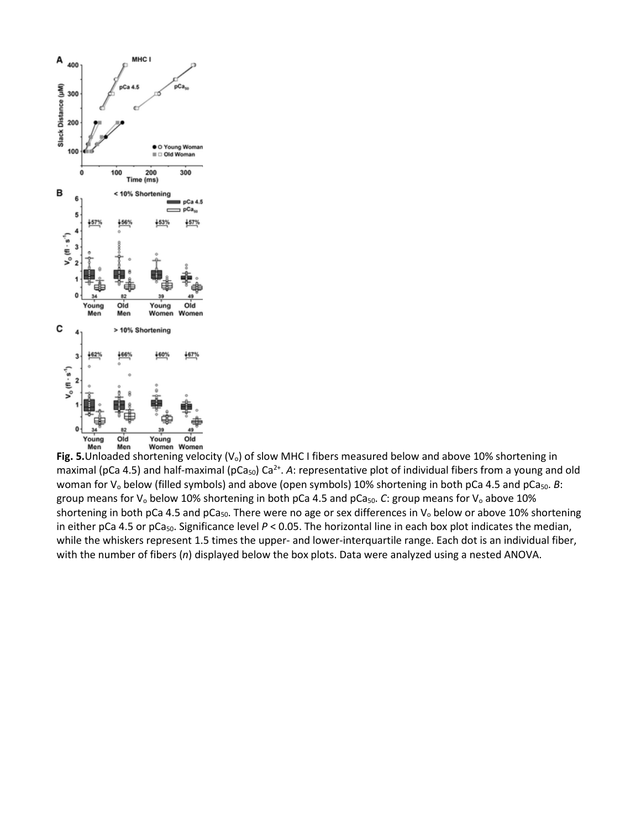

Fig. 5. Unloaded shortening velocity (V<sub>o</sub>) of slow MHC I fibers measured below and above 10% shortening in maximal (pCa 4.5) and half-maximal (pCa<sub>50</sub>) Ca<sup>2+</sup>. A: representative plot of individual fibers from a young and old woman for V<sub>o</sub> below (filled symbols) and above (open symbols) 10% shortening in both pCa 4.5 and pCa<sub>50</sub>. *B*: group means for V<sub>o</sub> below 10% shortening in both pCa 4.5 and pCa<sub>50</sub>. *C*: group means for V<sub>o</sub> above 10% shortening in both pCa 4.5 and pCa<sub>50</sub>. There were no age or sex differences in  $V_0$  below or above 10% shortening in either pCa 4.5 or pCa<sub>50</sub>. Significance level  $P < 0.05$ . The horizontal line in each box plot indicates the median, while the whiskers represent 1.5 times the upper- and lower-interquartile range. Each dot is an individual fiber, with the number of fibers (*n*) displayed below the box plots. Data were analyzed using a nested ANOVA.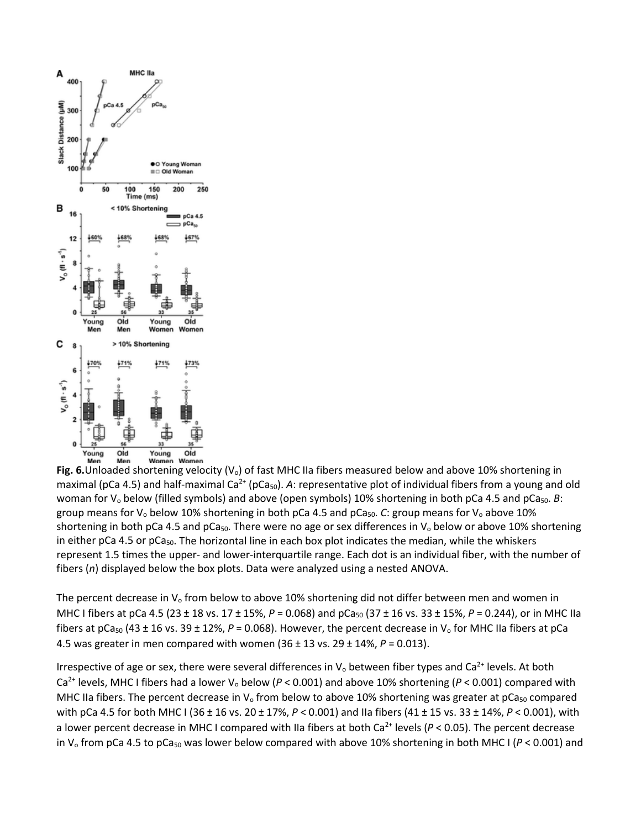

**Fig. 6.**Unloaded shortening velocity (V<sub>o</sub>) of fast MHC IIa fibers measured below and above 10% shortening in maximal (pCa 4.5) and half-maximal  $Ca^{2+}$  (pCa<sub>50</sub>). A: representative plot of individual fibers from a young and old woman for V<sub>o</sub> below (filled symbols) and above (open symbols) 10% shortening in both pCa 4.5 and pCa<sub>50</sub>. *B*: group means for  $V_0$  below 10% shortening in both pCa 4.5 and pCa<sub>50</sub>. *C*: group means for  $V_0$  above 10% shortening in both pCa 4.5 and pCa<sub>50</sub>. There were no age or sex differences in  $V_0$  below or above 10% shortening in either pCa 4.5 or pCa<sub>50</sub>. The horizontal line in each box plot indicates the median, while the whiskers represent 1.5 times the upper- and lower-interquartile range. Each dot is an individual fiber, with the number of fibers (*n*) displayed below the box plots. Data were analyzed using a nested ANOVA.

The percent decrease in  $V_0$  from below to above 10% shortening did not differ between men and women in MHC I fibers at pCa 4.5 (23 ± 18 vs. 17 ± 15%,  $P = 0.068$ ) and pCa<sub>50</sub> (37 ± 16 vs. 33 ± 15%,  $P = 0.244$ ), or in MHC IIa fibers at  $pCa<sub>50</sub>$  (43 ± 16 vs. 39 ± 12%, *P* = 0.068). However, the percent decrease in V<sub>o</sub> for MHC IIa fibers at pCa 4.5 was greater in men compared with women (36 ± 13 vs. 29 ± 14%, *P* = 0.013).

Irrespective of age or sex, there were several differences in  $V_0$  between fiber types and Ca<sup>2+</sup> levels. At both Ca<sup>2+</sup> levels, MHC I fibers had a lower V<sub>o</sub> below ( $P < 0.001$ ) and above 10% shortening ( $P < 0.001$ ) compared with MHC IIa fibers. The percent decrease in  $V_0$  from below to above 10% shortening was greater at pCa<sub>50</sub> compared with pCa 4.5 for both MHC I (36 ± 16 vs. 20 ± 17%, *P* < 0.001) and IIa fibers (41 ± 15 vs. 33 ± 14%, *P* < 0.001), with a lower percent decrease in MHC I compared with IIa fibers at both Ca<sup>2+</sup> levels (P < 0.05). The percent decrease in V<sub>o</sub> from pCa 4.5 to pCa<sub>50</sub> was lower below compared with above 10% shortening in both MHC I ( $P < 0.001$ ) and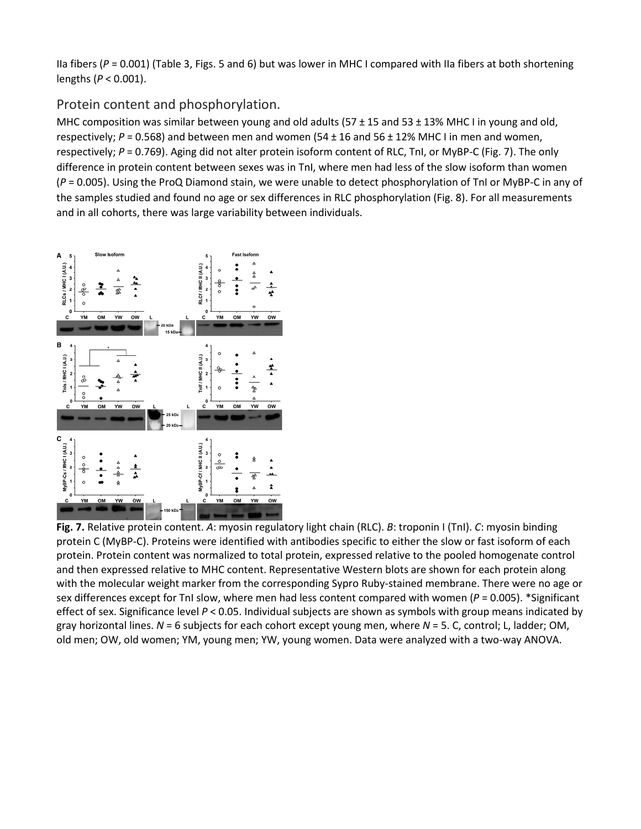IIa fibers (*P* = 0.001) (Table 3, Figs. 5 and 6) but was lower in MHC I compared with IIa fibers at both shortening lengths (*P* < 0.001).

#### Protein content and phosphorylation.

MHC composition was similar between young and old adults (57 ± 15 and 53 ± 13% MHC I in young and old, respectively; *P* = 0.568) and between men and women (54 ± 16 and 56 ± 12% MHC I in men and women, respectively; *P* = 0.769). Aging did not alter protein isoform content of RLC, TnI, or MyBP-C (Fig. 7). The only difference in protein content between sexes was in TnI, where men had less of the slow isoform than women (*P* = 0.005). Using the ProQ Diamond stain, we were unable to detect phosphorylation of TnI or MyBP-C in any of the samples studied and found no age or sex differences in RLC phosphorylation (Fig. 8). For all measurements and in all cohorts, there was large variability between individuals.



**Fig. 7.** Relative protein content. *A*: myosin regulatory light chain (RLC). *B*: troponin I (TnI). *C*: myosin binding protein C (MyBP-C). Proteins were identified with antibodies specific to either the slow or fast isoform of each protein. Protein content was normalized to total protein, expressed relative to the pooled homogenate control and then expressed relative to MHC content. Representative Western blots are shown for each protein along with the molecular weight marker from the corresponding Sypro Ruby-stained membrane. There were no age or sex differences except for TnI slow, where men had less content compared with women (*P* = 0.005). \*Significant effect of sex. Significance level *P* < 0.05. Individual subjects are shown as symbols with group means indicated by gray horizontal lines. *N* = 6 subjects for each cohort except young men, where *N* = 5. C, control; L, ladder; OM, old men; OW, old women; YM, young men; YW, young women. Data were analyzed with a two-way ANOVA.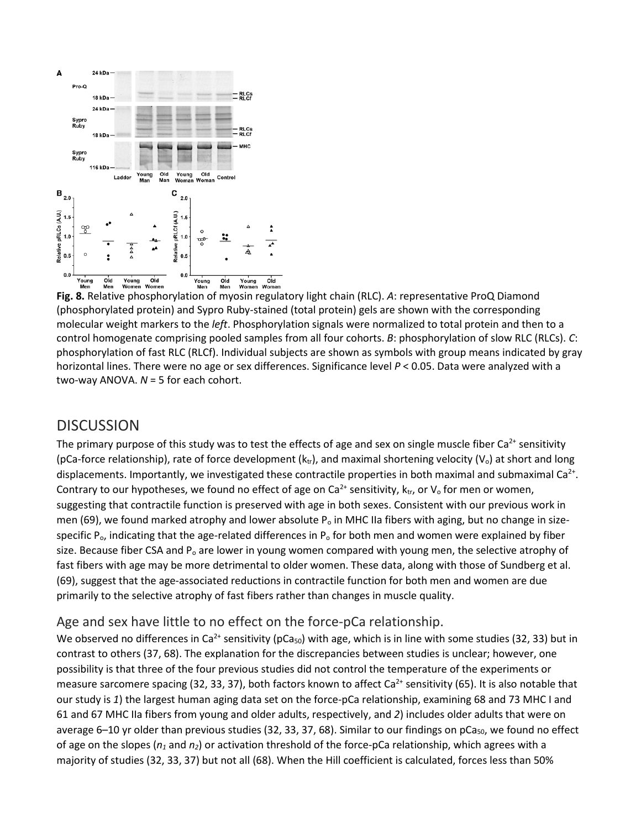

**Fig. 8.** Relative phosphorylation of myosin regulatory light chain (RLC). *A*: representative ProQ Diamond (phosphorylated protein) and Sypro Ruby-stained (total protein) gels are shown with the corresponding molecular weight markers to the *left*. Phosphorylation signals were normalized to total protein and then to a control homogenate comprising pooled samples from all four cohorts. *B*: phosphorylation of slow RLC (RLCs). *C*: phosphorylation of fast RLC (RLCf). Individual subjects are shown as symbols with group means indicated by gray horizontal lines. There were no age or sex differences. Significance level *P* < 0.05. Data were analyzed with a two-way ANOVA. *N* = 5 for each cohort.

## **DISCUSSION**

The primary purpose of this study was to test the effects of age and sex on single muscle fiber  $Ca<sup>2+</sup>$  sensitivity (pCa-force relationship), rate of force development ( $k_{tr}$ ), and maximal shortening velocity ( $V_o$ ) at short and long displacements. Importantly, we investigated these contractile properties in both maximal and submaximal  $Ca<sup>2+</sup>$ . Contrary to our hypotheses, we found no effect of age on Ca<sup>2+</sup> sensitivity,  $k_{tr}$ , or  $V_0$  for men or women, suggesting that contractile function is preserved with age in both sexes. Consistent with our previous work in men (69), we found marked atrophy and lower absolute  $P_0$  in MHC IIa fibers with aging, but no change in sizespecific  $P_0$ , indicating that the age-related differences in  $P_0$  for both men and women were explained by fiber size. Because fiber CSA and  $P_0$  are lower in young women compared with young men, the selective atrophy of fast fibers with age may be more detrimental to older women. These data, along with those of Sundberg et al. (69), suggest that the age-associated reductions in contractile function for both men and women are due primarily to the selective atrophy of fast fibers rather than changes in muscle quality.

#### Age and sex have little to no effect on the force-pCa relationship.

We observed no differences in Ca<sup>2+</sup> sensitivity (pCa<sub>50</sub>) with age, which is in line with some studies (32, 33) but in contrast to others (37, 68). The explanation for the discrepancies between studies is unclear; however, one possibility is that three of the four previous studies did not control the temperature of the experiments or measure sarcomere spacing (32, 33, 37), both factors known to affect Ca<sup>2+</sup> sensitivity (65). It is also notable that our study is *1*) the largest human aging data set on the force-pCa relationship, examining 68 and 73 MHC I and 61 and 67 MHC IIa fibers from young and older adults, respectively, and *2*) includes older adults that were on average 6–10 yr older than previous studies (32, 33, 37, 68). Similar to our findings on pCa<sub>50</sub>, we found no effect of age on the slopes (*n1* and *n2*) or activation threshold of the force-pCa relationship, which agrees with a majority of studies (32, 33, 37) but not all (68). When the Hill coefficient is calculated, forces less than 50%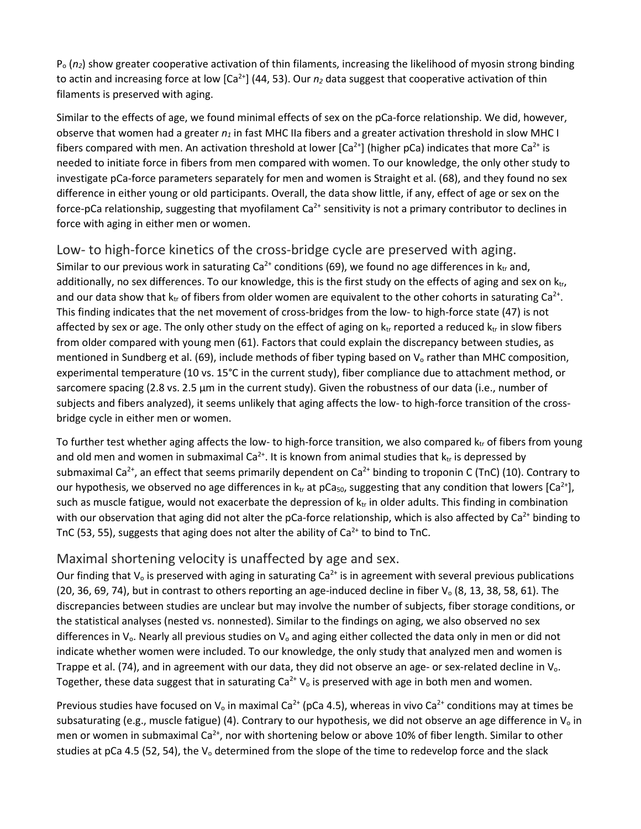Po (*n2*) show greater cooperative activation of thin filaments, increasing the likelihood of myosin strong binding to actin and increasing force at low  $[Ca<sup>2+</sup>]$  (44, 53). Our  $n_2$  data suggest that cooperative activation of thin filaments is preserved with aging.

Similar to the effects of age, we found minimal effects of sex on the pCa-force relationship. We did, however, observe that women had a greater  $n_1$  in fast MHC IIa fibers and a greater activation threshold in slow MHC I fibers compared with men. An activation threshold at lower  $[Ca^{2+}]$  (higher pCa) indicates that more  $Ca^{2+}$  is needed to initiate force in fibers from men compared with women. To our knowledge, the only other study to investigate pCa-force parameters separately for men and women is Straight et al. (68), and they found no sex difference in either young or old participants. Overall, the data show little, if any, effect of age or sex on the force-pCa relationship, suggesting that myofilament  $Ca^{2+}$  sensitivity is not a primary contributor to declines in force with aging in either men or women.

Low- to high-force kinetics of the cross-bridge cycle are preserved with aging. Similar to our previous work in saturating  $Ca^{2+}$  conditions (69), we found no age differences in  $k_{tr}$  and, additionally, no sex differences. To our knowledge, this is the first study on the effects of aging and sex on  $k_{\text{tr}}$ , and our data show that  $k_{tr}$  of fibers from older women are equivalent to the other cohorts in saturating  $Ca^{2+}$ . This finding indicates that the net movement of cross-bridges from the low- to high-force state (47) is not affected by sex or age. The only other study on the effect of aging on  $k_{tr}$  reported a reduced  $k_{tr}$  in slow fibers from older compared with young men (61). Factors that could explain the discrepancy between studies, as mentioned in Sundberg et al. (69), include methods of fiber typing based on  $V_0$  rather than MHC composition, experimental temperature (10 vs. 15°C in the current study), fiber compliance due to attachment method, or sarcomere spacing (2.8 vs. 2.5 µm in the current study). Given the robustness of our data (i.e., number of subjects and fibers analyzed), it seems unlikely that aging affects the low- to high-force transition of the crossbridge cycle in either men or women.

To further test whether aging affects the low- to high-force transition, we also compared  $k_{tr}$  of fibers from young and old men and women in submaximal  $Ca^{2+}$ . It is known from animal studies that  $k_{tr}$  is depressed by submaximal Ca<sup>2+</sup>, an effect that seems primarily dependent on Ca<sup>2+</sup> binding to troponin C (TnC) (10). Contrary to our hypothesis, we observed no age differences in  $k_{tr}$  at pCa<sub>50</sub>, suggesting that any condition that lowers [Ca<sup>2+</sup>], such as muscle fatigue, would not exacerbate the depression of  $k<sub>tr</sub>$  in older adults. This finding in combination with our observation that aging did not alter the pCa-force relationship, which is also affected by  $Ca^{2+}$  binding to TnC (53, 55), suggests that aging does not alter the ability of  $Ca<sup>2+</sup>$  to bind to TnC.

#### Maximal shortening velocity is unaffected by age and sex.

Our finding that  $V_0$  is preserved with aging in saturating  $Ca^{2+}$  is in agreement with several previous publications (20, 36, 69, 74), but in contrast to others reporting an age-induced decline in fiber  $V_0$  (8, 13, 38, 58, 61). The discrepancies between studies are unclear but may involve the number of subjects, fiber storage conditions, or the statistical analyses (nested vs. nonnested). Similar to the findings on aging, we also observed no sex differences in  $V_0$ . Nearly all previous studies on  $V_0$  and aging either collected the data only in men or did not indicate whether women were included. To our knowledge, the only study that analyzed men and women is Trappe et al. (74), and in agreement with our data, they did not observe an age- or sex-related decline in  $V_o$ . Together, these data suggest that in saturating  $Ca^{2+}V_0$  is preserved with age in both men and women.

Previous studies have focused on  $V_0$  in maximal Ca<sup>2+</sup> (pCa 4.5), whereas in vivo Ca<sup>2+</sup> conditions may at times be subsaturating (e.g., muscle fatigue) (4). Contrary to our hypothesis, we did not observe an age difference in  $V_0$  in men or women in submaximal Ca<sup>2+</sup>, nor with shortening below or above 10% of fiber length. Similar to other studies at pCa 4.5 (52, 54), the  $V_0$  determined from the slope of the time to redevelop force and the slack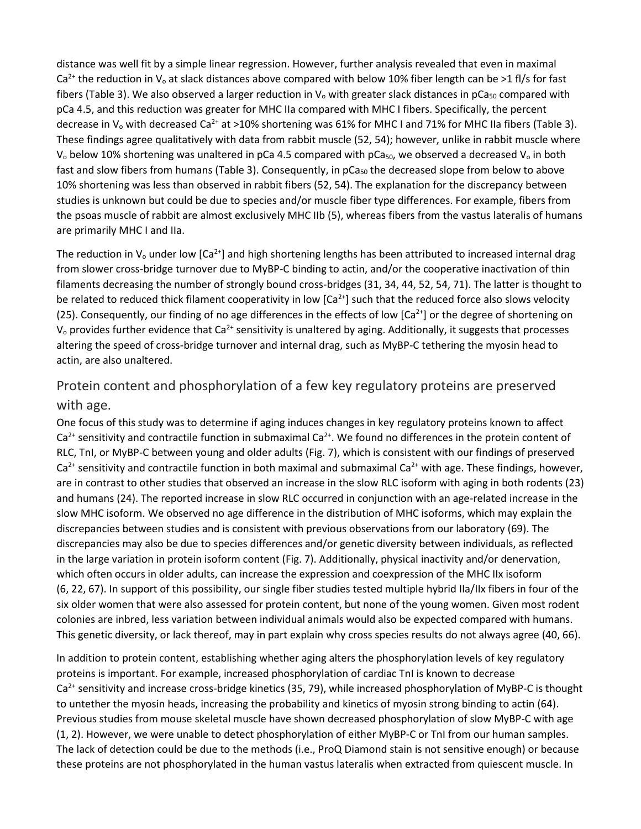distance was well fit by a simple linear regression. However, further analysis revealed that even in maximal Ca<sup>2+</sup> the reduction in V<sub>o</sub> at slack distances above compared with below 10% fiber length can be >1 fl/s for fast fibers (Table 3). We also observed a larger reduction in  $V_0$  with greater slack distances in pCa<sub>50</sub> compared with pCa 4.5, and this reduction was greater for MHC IIa compared with MHC I fibers. Specifically, the percent decrease in  $V_0$  with decreased Ca<sup>2+</sup> at >10% shortening was 61% for MHC I and 71% for MHC IIa fibers (Table 3). These findings agree qualitatively with data from rabbit muscle (52, 54); however, unlike in rabbit muscle where V<sub>o</sub> below 10% shortening was unaltered in pCa 4.5 compared with pCa<sub>50</sub>, we observed a decreased V<sub>o</sub> in both fast and slow fibers from humans (Table 3). Consequently, in pCa<sub>50</sub> the decreased slope from below to above 10% shortening was less than observed in rabbit fibers (52, 54). The explanation for the discrepancy between studies is unknown but could be due to species and/or muscle fiber type differences. For example, fibers from the psoas muscle of rabbit are almost exclusively MHC IIb (5), whereas fibers from the vastus lateralis of humans are primarily MHC I and IIa.

The reduction in V<sub>o</sub> under low  $[Ca^{2+}]$  and high shortening lengths has been attributed to increased internal drag from slower cross-bridge turnover due to MyBP-C binding to actin, and/or the cooperative inactivation of thin filaments decreasing the number of strongly bound cross-bridges (31, 34, 44, 52, 54, 71). The latter is thought to be related to reduced thick filament cooperativity in low  $[Ca<sup>2+</sup>]$  such that the reduced force also slows velocity (25). Consequently, our finding of no age differences in the effects of low  $[Ca^{2+}]$  or the degree of shortening on  $V_0$  provides further evidence that Ca<sup>2+</sup> sensitivity is unaltered by aging. Additionally, it suggests that processes altering the speed of cross-bridge turnover and internal drag, such as MyBP-C tethering the myosin head to actin, are also unaltered.

### Protein content and phosphorylation of a few key regulatory proteins are preserved with age.

One focus of this study was to determine if aging induces changes in key regulatory proteins known to affect  $Ca<sup>2+</sup>$  sensitivity and contractile function in submaximal  $Ca<sup>2+</sup>$ . We found no differences in the protein content of RLC, TnI, or MyBP-C between young and older adults (Fig. 7), which is consistent with our findings of preserved  $Ca<sup>2+</sup>$  sensitivity and contractile function in both maximal and submaximal  $Ca<sup>2+</sup>$  with age. These findings, however, are in contrast to other studies that observed an increase in the slow RLC isoform with aging in both rodents (23) and humans (24). The reported increase in slow RLC occurred in conjunction with an age-related increase in the slow MHC isoform. We observed no age difference in the distribution of MHC isoforms, which may explain the discrepancies between studies and is consistent with previous observations from our laboratory (69). The discrepancies may also be due to species differences and/or genetic diversity between individuals, as reflected in the large variation in protein isoform content (Fig. 7). Additionally, physical inactivity and/or denervation, which often occurs in older adults, can increase the expression and coexpression of the MHC IIx isoform (6, 22, 67). In support of this possibility, our single fiber studies tested multiple hybrid IIa/IIx fibers in four of the six older women that were also assessed for protein content, but none of the young women. Given most rodent colonies are inbred, less variation between individual animals would also be expected compared with humans. This genetic diversity, or lack thereof, may in part explain why cross species results do not always agree (40, 66).

In addition to protein content, establishing whether aging alters the phosphorylation levels of key regulatory proteins is important. For example, increased phosphorylation of cardiac TnI is known to decrease  $Ca<sup>2+</sup>$  sensitivity and increase cross-bridge kinetics (35, 79), while increased phosphorylation of MyBP-C is thought to untether the myosin heads, increasing the probability and kinetics of myosin strong binding to actin (64). Previous studies from mouse skeletal muscle have shown decreased phosphorylation of slow MyBP-C with age (1, 2). However, we were unable to detect phosphorylation of either MyBP-C or TnI from our human samples. The lack of detection could be due to the methods (i.e., ProQ Diamond stain is not sensitive enough) or because these proteins are not phosphorylated in the human vastus lateralis when extracted from quiescent muscle. In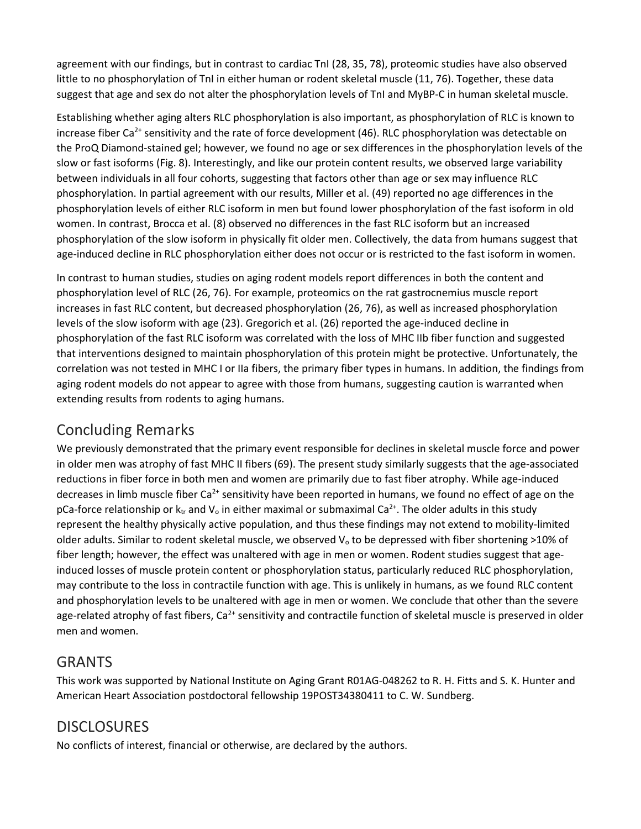agreement with our findings, but in contrast to cardiac TnI (28, 35, 78), proteomic studies have also observed little to no phosphorylation of TnI in either human or rodent skeletal muscle (11, 76). Together, these data suggest that age and sex do not alter the phosphorylation levels of TnI and MyBP-C in human skeletal muscle.

Establishing whether aging alters RLC phosphorylation is also important, as phosphorylation of RLC is known to increase fiber Ca<sup>2+</sup> sensitivity and the rate of force development (46). RLC phosphorylation was detectable on the ProQ Diamond-stained gel; however, we found no age or sex differences in the phosphorylation levels of the slow or fast isoforms (Fig. 8). Interestingly, and like our protein content results, we observed large variability between individuals in all four cohorts, suggesting that factors other than age or sex may influence RLC phosphorylation. In partial agreement with our results, Miller et al. (49) reported no age differences in the phosphorylation levels of either RLC isoform in men but found lower phosphorylation of the fast isoform in old women. In contrast, Brocca et al. (8) observed no differences in the fast RLC isoform but an increased phosphorylation of the slow isoform in physically fit older men. Collectively, the data from humans suggest that age-induced decline in RLC phosphorylation either does not occur or is restricted to the fast isoform in women.

In contrast to human studies, studies on aging rodent models report differences in both the content and phosphorylation level of RLC (26, 76). For example, proteomics on the rat gastrocnemius muscle report increases in fast RLC content, but decreased phosphorylation (26, 76), as well as increased phosphorylation levels of the slow isoform with age (23). Gregorich et al. (26) reported the age-induced decline in phosphorylation of the fast RLC isoform was correlated with the loss of MHC IIb fiber function and suggested that interventions designed to maintain phosphorylation of this protein might be protective. Unfortunately, the correlation was not tested in MHC I or IIa fibers, the primary fiber types in humans. In addition, the findings from aging rodent models do not appear to agree with those from humans, suggesting caution is warranted when extending results from rodents to aging humans.

# Concluding Remarks

We previously demonstrated that the primary event responsible for declines in skeletal muscle force and power in older men was atrophy of fast MHC II fibers (69). The present study similarly suggests that the age-associated reductions in fiber force in both men and women are primarily due to fast fiber atrophy. While age-induced decreases in limb muscle fiber Ca<sup>2+</sup> sensitivity have been reported in humans, we found no effect of age on the pCa-force relationship or  $k<sub>tr</sub>$  and  $V<sub>o</sub>$  in either maximal or submaximal Ca<sup>2+</sup>. The older adults in this study represent the healthy physically active population, and thus these findings may not extend to mobility-limited older adults. Similar to rodent skeletal muscle, we observed  $V_0$  to be depressed with fiber shortening >10% of fiber length; however, the effect was unaltered with age in men or women. Rodent studies suggest that ageinduced losses of muscle protein content or phosphorylation status, particularly reduced RLC phosphorylation, may contribute to the loss in contractile function with age. This is unlikely in humans, as we found RLC content and phosphorylation levels to be unaltered with age in men or women. We conclude that other than the severe age-related atrophy of fast fibers,  $Ca<sup>2+</sup>$  sensitivity and contractile function of skeletal muscle is preserved in older men and women.

# **GRANTS**

This work was supported by National Institute on Aging Grant R01AG-048262 to R. H. Fitts and S. K. Hunter and American Heart Association postdoctoral fellowship 19POST34380411 to C. W. Sundberg.

# **DISCLOSURES**

No conflicts of interest, financial or otherwise, are declared by the authors.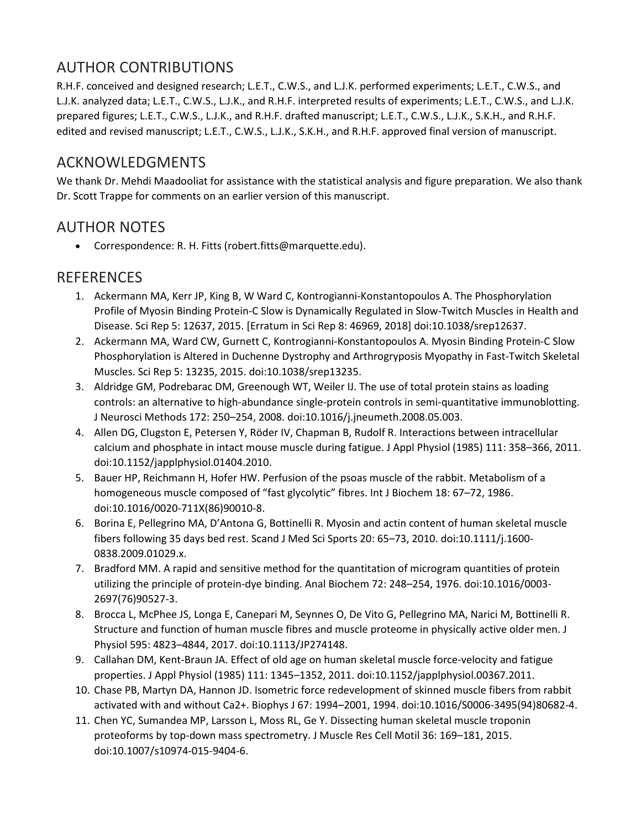# AUTHOR CONTRIBUTIONS

R.H.F. conceived and designed research; L.E.T., C.W.S., and L.J.K. performed experiments; L.E.T., C.W.S., and L.J.K. analyzed data; L.E.T., C.W.S., L.J.K., and R.H.F. interpreted results of experiments; L.E.T., C.W.S., and L.J.K. prepared figures; L.E.T., C.W.S., L.J.K., and R.H.F. drafted manuscript; L.E.T., C.W.S., L.J.K., S.K.H., and R.H.F. edited and revised manuscript; L.E.T., C.W.S., L.J.K., S.K.H., and R.H.F. approved final version of manuscript.

# ACKNOWLEDGMENTS

We thank Dr. Mehdi Maadooliat for assistance with the statistical analysis and figure preparation. We also thank Dr. Scott Trappe for comments on an earlier version of this manuscript.

## AUTHOR NOTES

• Correspondence: R. H. Fitts (robert.fitts@marquette.edu).

## REFERENCES

- 1. Ackermann MA, Kerr JP, King B, W Ward C, Kontrogianni-Konstantopoulos A. The Phosphorylation Profile of Myosin Binding Protein-C Slow is Dynamically Regulated in Slow-Twitch Muscles in Health and Disease. Sci Rep 5: 12637, 2015. [Erratum in Sci Rep 8: 46969, 2018] doi:10.1038/srep12637.
- 2. Ackermann MA, Ward CW, Gurnett C, Kontrogianni-Konstantopoulos A. Myosin Binding Protein-C Slow Phosphorylation is Altered in Duchenne Dystrophy and Arthrogryposis Myopathy in Fast-Twitch Skeletal Muscles. Sci Rep 5: 13235, 2015. doi:10.1038/srep13235.
- 3. Aldridge GM, Podrebarac DM, Greenough WT, Weiler IJ. The use of total protein stains as loading controls: an alternative to high-abundance single-protein controls in semi-quantitative immunoblotting. J Neurosci Methods 172: 250–254, 2008. doi:10.1016/j.jneumeth.2008.05.003.
- 4. Allen DG, Clugston E, Petersen Y, Röder IV, Chapman B, Rudolf R. Interactions between intracellular calcium and phosphate in intact mouse muscle during fatigue. J Appl Physiol (1985) 111: 358–366, 2011. doi:10.1152/japplphysiol.01404.2010.
- 5. Bauer HP, Reichmann H, Hofer HW. Perfusion of the psoas muscle of the rabbit. Metabolism of a homogeneous muscle composed of "fast glycolytic" fibres. Int J Biochem 18: 67–72, 1986. doi:10.1016/0020-711X(86)90010-8.
- 6. Borina E, Pellegrino MA, D'Antona G, Bottinelli R. Myosin and actin content of human skeletal muscle fibers following 35 days bed rest. Scand J Med Sci Sports 20: 65–73, 2010. doi:10.1111/j.1600- 0838.2009.01029.x.
- 7. Bradford MM. A rapid and sensitive method for the quantitation of microgram quantities of protein utilizing the principle of protein-dye binding. Anal Biochem 72: 248–254, 1976. doi:10.1016/0003- 2697(76)90527-3.
- 8. Brocca L, McPhee JS, Longa E, Canepari M, Seynnes O, De Vito G, Pellegrino MA, Narici M, Bottinelli R. Structure and function of human muscle fibres and muscle proteome in physically active older men. J Physiol 595: 4823–4844, 2017. doi:10.1113/JP274148.
- 9. Callahan DM, Kent-Braun JA. Effect of old age on human skeletal muscle force-velocity and fatigue properties. J Appl Physiol (1985) 111: 1345–1352, 2011. doi:10.1152/japplphysiol.00367.2011.
- 10. Chase PB, Martyn DA, Hannon JD. Isometric force redevelopment of skinned muscle fibers from rabbit activated with and without Ca2+. Biophys J 67: 1994–2001, 1994. doi:10.1016/S0006-3495(94)80682-4.
- 11. Chen YC, Sumandea MP, Larsson L, Moss RL, Ge Y. Dissecting human skeletal muscle troponin proteoforms by top-down mass spectrometry. J Muscle Res Cell Motil 36: 169–181, 2015. doi:10.1007/s10974-015-9404-6.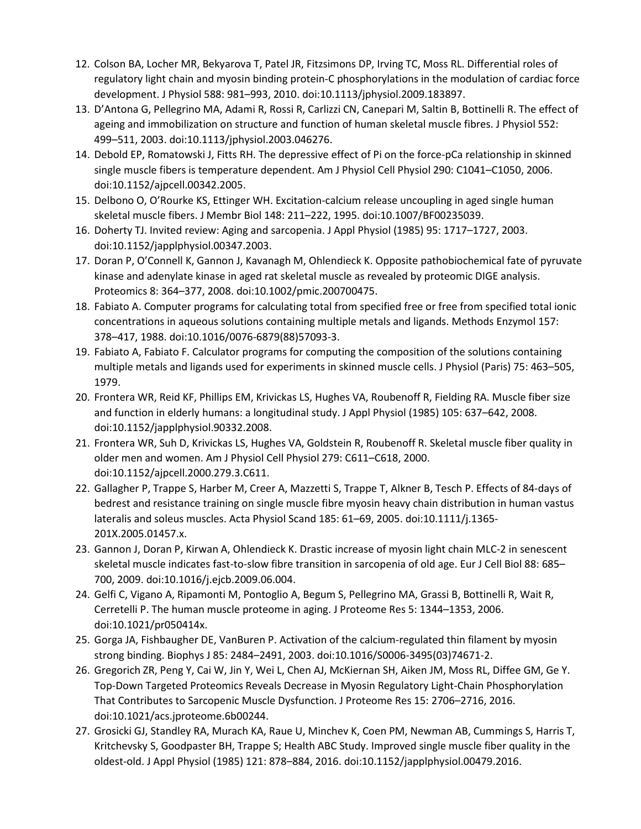- 12. Colson BA, Locher MR, Bekyarova T, Patel JR, Fitzsimons DP, Irving TC, Moss RL. Differential roles of regulatory light chain and myosin binding protein-C phosphorylations in the modulation of cardiac force development. J Physiol 588: 981–993, 2010. doi:10.1113/jphysiol.2009.183897.
- 13. D'Antona G, Pellegrino MA, Adami R, Rossi R, Carlizzi CN, Canepari M, Saltin B, Bottinelli R. The effect of ageing and immobilization on structure and function of human skeletal muscle fibres. J Physiol 552: 499–511, 2003. doi:10.1113/jphysiol.2003.046276.
- 14. Debold EP, Romatowski J, Fitts RH. The depressive effect of Pi on the force-pCa relationship in skinned single muscle fibers is temperature dependent. Am J Physiol Cell Physiol 290: C1041–C1050, 2006. doi:10.1152/ajpcell.00342.2005.
- 15. Delbono O, O'Rourke KS, Ettinger WH. Excitation-calcium release uncoupling in aged single human skeletal muscle fibers. J Membr Biol 148: 211–222, 1995. doi:10.1007/BF00235039.
- 16. Doherty TJ. Invited review: Aging and sarcopenia. J Appl Physiol (1985) 95: 1717–1727, 2003. doi:10.1152/japplphysiol.00347.2003.
- 17. Doran P, O'Connell K, Gannon J, Kavanagh M, Ohlendieck K. Opposite pathobiochemical fate of pyruvate kinase and adenylate kinase in aged rat skeletal muscle as revealed by proteomic DIGE analysis. Proteomics 8: 364–377, 2008. doi:10.1002/pmic.200700475.
- 18. Fabiato A. Computer programs for calculating total from specified free or free from specified total ionic concentrations in aqueous solutions containing multiple metals and ligands. Methods Enzymol 157: 378–417, 1988. doi:10.1016/0076-6879(88)57093-3.
- 19. Fabiato A, Fabiato F. Calculator programs for computing the composition of the solutions containing multiple metals and ligands used for experiments in skinned muscle cells. J Physiol (Paris) 75: 463–505, 1979.
- 20. Frontera WR, Reid KF, Phillips EM, Krivickas LS, Hughes VA, Roubenoff R, Fielding RA. Muscle fiber size and function in elderly humans: a longitudinal study. J Appl Physiol (1985) 105: 637–642, 2008. doi:10.1152/japplphysiol.90332.2008.
- 21. Frontera WR, Suh D, Krivickas LS, Hughes VA, Goldstein R, Roubenoff R. Skeletal muscle fiber quality in older men and women. Am J Physiol Cell Physiol 279: C611–C618, 2000. doi:10.1152/ajpcell.2000.279.3.C611.
- 22. Gallagher P, Trappe S, Harber M, Creer A, Mazzetti S, Trappe T, Alkner B, Tesch P. Effects of 84-days of bedrest and resistance training on single muscle fibre myosin heavy chain distribution in human vastus lateralis and soleus muscles. Acta Physiol Scand 185: 61–69, 2005. doi:10.1111/j.1365- 201X.2005.01457.x.
- 23. Gannon J, Doran P, Kirwan A, Ohlendieck K. Drastic increase of myosin light chain MLC-2 in senescent skeletal muscle indicates fast-to-slow fibre transition in sarcopenia of old age. Eur J Cell Biol 88: 685– 700, 2009. doi:10.1016/j.ejcb.2009.06.004.
- 24. Gelfi C, Vigano A, Ripamonti M, Pontoglio A, Begum S, Pellegrino MA, Grassi B, Bottinelli R, Wait R, Cerretelli P. The human muscle proteome in aging. J Proteome Res 5: 1344–1353, 2006. doi:10.1021/pr050414x.
- 25. Gorga JA, Fishbaugher DE, VanBuren P. Activation of the calcium-regulated thin filament by myosin strong binding. Biophys J 85: 2484–2491, 2003. doi:10.1016/S0006-3495(03)74671-2.
- 26. Gregorich ZR, Peng Y, Cai W, Jin Y, Wei L, Chen AJ, McKiernan SH, Aiken JM, Moss RL, Diffee GM, Ge Y. Top-Down Targeted Proteomics Reveals Decrease in Myosin Regulatory Light-Chain Phosphorylation That Contributes to Sarcopenic Muscle Dysfunction. J Proteome Res 15: 2706–2716, 2016. doi:10.1021/acs.jproteome.6b00244.
- 27. Grosicki GJ, Standley RA, Murach KA, Raue U, Minchev K, Coen PM, Newman AB, Cummings S, Harris T, Kritchevsky S, Goodpaster BH, Trappe S; Health ABC Study. Improved single muscle fiber quality in the oldest-old. J Appl Physiol (1985) 121: 878–884, 2016. doi:10.1152/japplphysiol.00479.2016.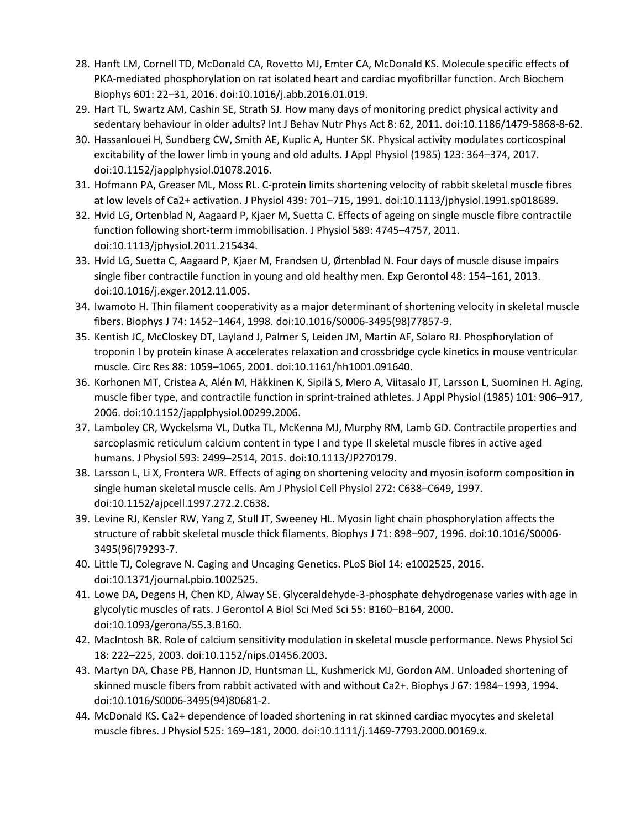- 28. Hanft LM, Cornell TD, McDonald CA, Rovetto MJ, Emter CA, McDonald KS. Molecule specific effects of PKA-mediated phosphorylation on rat isolated heart and cardiac myofibrillar function. Arch Biochem Biophys 601: 22–31, 2016. doi:10.1016/j.abb.2016.01.019.
- 29. Hart TL, Swartz AM, Cashin SE, Strath SJ. How many days of monitoring predict physical activity and sedentary behaviour in older adults? Int J Behav Nutr Phys Act 8: 62, 2011. doi:10.1186/1479-5868-8-62.
- 30. Hassanlouei H, Sundberg CW, Smith AE, Kuplic A, Hunter SK. Physical activity modulates corticospinal excitability of the lower limb in young and old adults. J Appl Physiol (1985) 123: 364–374, 2017. doi:10.1152/japplphysiol.01078.2016.
- 31. Hofmann PA, Greaser ML, Moss RL. C-protein limits shortening velocity of rabbit skeletal muscle fibres at low levels of Ca2+ activation. J Physiol 439: 701–715, 1991. doi:10.1113/jphysiol.1991.sp018689.
- 32. Hvid LG, Ortenblad N, Aagaard P, Kjaer M, Suetta C. Effects of ageing on single muscle fibre contractile function following short-term immobilisation. J Physiol 589: 4745–4757, 2011. doi:10.1113/jphysiol.2011.215434.
- 33. Hvid LG, Suetta C, Aagaard P, Kjaer M, Frandsen U, Ørtenblad N. Four days of muscle disuse impairs single fiber contractile function in young and old healthy men. Exp Gerontol 48: 154–161, 2013. doi:10.1016/j.exger.2012.11.005.
- 34. Iwamoto H. Thin filament cooperativity as a major determinant of shortening velocity in skeletal muscle fibers. Biophys J 74: 1452–1464, 1998. doi:10.1016/S0006-3495(98)77857-9.
- 35. Kentish JC, McCloskey DT, Layland J, Palmer S, Leiden JM, Martin AF, Solaro RJ. Phosphorylation of troponin I by protein kinase A accelerates relaxation and crossbridge cycle kinetics in mouse ventricular muscle. Circ Res 88: 1059–1065, 2001. doi:10.1161/hh1001.091640.
- 36. Korhonen MT, Cristea A, Alén M, Häkkinen K, Sipilä S, Mero A, Viitasalo JT, Larsson L, Suominen H. Aging, muscle fiber type, and contractile function in sprint-trained athletes. J Appl Physiol (1985) 101: 906–917, 2006. doi:10.1152/japplphysiol.00299.2006.
- 37. Lamboley CR, Wyckelsma VL, Dutka TL, McKenna MJ, Murphy RM, Lamb GD. Contractile properties and sarcoplasmic reticulum calcium content in type I and type II skeletal muscle fibres in active aged humans. J Physiol 593: 2499–2514, 2015. doi:10.1113/JP270179.
- 38. Larsson L, Li X, Frontera WR. Effects of aging on shortening velocity and myosin isoform composition in single human skeletal muscle cells. Am J Physiol Cell Physiol 272: C638–C649, 1997. doi:10.1152/ajpcell.1997.272.2.C638.
- 39. Levine RJ, Kensler RW, Yang Z, Stull JT, Sweeney HL. Myosin light chain phosphorylation affects the structure of rabbit skeletal muscle thick filaments. Biophys J 71: 898–907, 1996. doi:10.1016/S0006- 3495(96)79293-7.
- 40. Little TJ, Colegrave N. Caging and Uncaging Genetics. PLoS Biol 14: e1002525, 2016. doi:10.1371/journal.pbio.1002525.
- 41. Lowe DA, Degens H, Chen KD, Alway SE. Glyceraldehyde-3-phosphate dehydrogenase varies with age in glycolytic muscles of rats. J Gerontol A Biol Sci Med Sci 55: B160–B164, 2000. doi:10.1093/gerona/55.3.B160.
- 42. MacIntosh BR. Role of calcium sensitivity modulation in skeletal muscle performance. News Physiol Sci 18: 222–225, 2003. doi:10.1152/nips.01456.2003.
- 43. Martyn DA, Chase PB, Hannon JD, Huntsman LL, Kushmerick MJ, Gordon AM. Unloaded shortening of skinned muscle fibers from rabbit activated with and without Ca2+. Biophys J 67: 1984–1993, 1994. doi:10.1016/S0006-3495(94)80681-2.
- 44. McDonald KS. Ca2+ dependence of loaded shortening in rat skinned cardiac myocytes and skeletal muscle fibres. J Physiol 525: 169–181, 2000. doi:10.1111/j.1469-7793.2000.00169.x.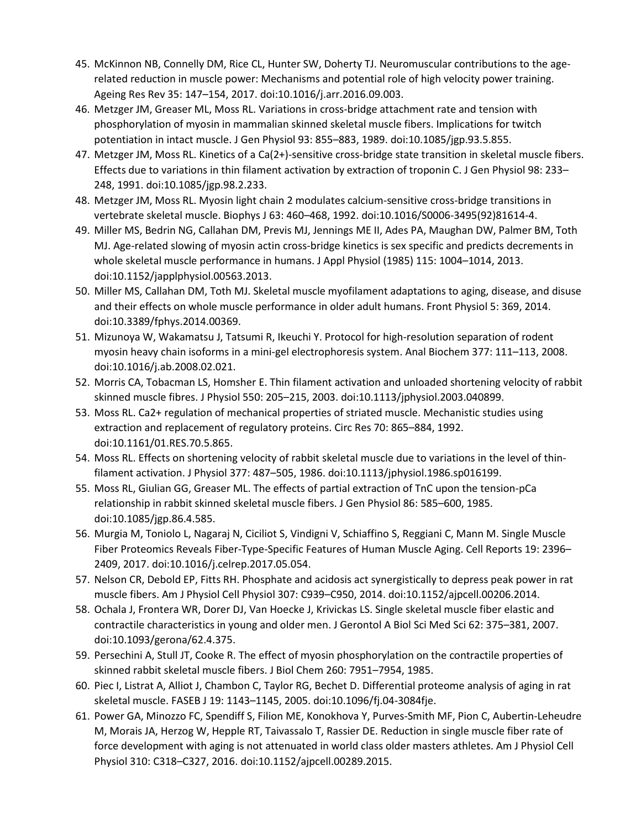- 45. McKinnon NB, Connelly DM, Rice CL, Hunter SW, Doherty TJ. Neuromuscular contributions to the agerelated reduction in muscle power: Mechanisms and potential role of high velocity power training. Ageing Res Rev 35: 147–154, 2017. doi:10.1016/j.arr.2016.09.003.
- 46. Metzger JM, Greaser ML, Moss RL. Variations in cross-bridge attachment rate and tension with phosphorylation of myosin in mammalian skinned skeletal muscle fibers. Implications for twitch potentiation in intact muscle. J Gen Physiol 93: 855–883, 1989. doi:10.1085/jgp.93.5.855.
- 47. Metzger JM, Moss RL. Kinetics of a Ca(2+)-sensitive cross-bridge state transition in skeletal muscle fibers. Effects due to variations in thin filament activation by extraction of troponin C. J Gen Physiol 98: 233– 248, 1991. doi:10.1085/jgp.98.2.233.
- 48. Metzger JM, Moss RL. Myosin light chain 2 modulates calcium-sensitive cross-bridge transitions in vertebrate skeletal muscle. Biophys J 63: 460–468, 1992. doi:10.1016/S0006-3495(92)81614-4.
- 49. Miller MS, Bedrin NG, Callahan DM, Previs MJ, Jennings ME II, Ades PA, Maughan DW, Palmer BM, Toth MJ. Age-related slowing of myosin actin cross-bridge kinetics is sex specific and predicts decrements in whole skeletal muscle performance in humans. J Appl Physiol (1985) 115: 1004–1014, 2013. doi:10.1152/japplphysiol.00563.2013.
- 50. Miller MS, Callahan DM, Toth MJ. Skeletal muscle myofilament adaptations to aging, disease, and disuse and their effects on whole muscle performance in older adult humans. Front Physiol 5: 369, 2014. doi:10.3389/fphys.2014.00369.
- 51. Mizunoya W, Wakamatsu J, Tatsumi R, Ikeuchi Y. Protocol for high-resolution separation of rodent myosin heavy chain isoforms in a mini-gel electrophoresis system. Anal Biochem 377: 111–113, 2008. doi:10.1016/j.ab.2008.02.021.
- 52. Morris CA, Tobacman LS, Homsher E. Thin filament activation and unloaded shortening velocity of rabbit skinned muscle fibres. J Physiol 550: 205–215, 2003. doi:10.1113/jphysiol.2003.040899.
- 53. Moss RL. Ca2+ regulation of mechanical properties of striated muscle. Mechanistic studies using extraction and replacement of regulatory proteins. Circ Res 70: 865–884, 1992. doi:10.1161/01.RES.70.5.865.
- 54. Moss RL. Effects on shortening velocity of rabbit skeletal muscle due to variations in the level of thinfilament activation. J Physiol 377: 487–505, 1986. doi:10.1113/jphysiol.1986.sp016199.
- 55. Moss RL, Giulian GG, Greaser ML. The effects of partial extraction of TnC upon the tension-pCa relationship in rabbit skinned skeletal muscle fibers. J Gen Physiol 86: 585–600, 1985. doi:10.1085/jgp.86.4.585.
- 56. Murgia M, Toniolo L, Nagaraj N, Ciciliot S, Vindigni V, Schiaffino S, Reggiani C, Mann M. Single Muscle Fiber Proteomics Reveals Fiber-Type-Specific Features of Human Muscle Aging. Cell Reports 19: 2396– 2409, 2017. doi:10.1016/j.celrep.2017.05.054.
- 57. Nelson CR, Debold EP, Fitts RH. Phosphate and acidosis act synergistically to depress peak power in rat muscle fibers. Am J Physiol Cell Physiol 307: C939–C950, 2014. doi:10.1152/ajpcell.00206.2014.
- 58. Ochala J, Frontera WR, Dorer DJ, Van Hoecke J, Krivickas LS. Single skeletal muscle fiber elastic and contractile characteristics in young and older men. J Gerontol A Biol Sci Med Sci 62: 375–381, 2007. doi:10.1093/gerona/62.4.375.
- 59. Persechini A, Stull JT, Cooke R. The effect of myosin phosphorylation on the contractile properties of skinned rabbit skeletal muscle fibers. J Biol Chem 260: 7951–7954, 1985.
- 60. Piec I, Listrat A, Alliot J, Chambon C, Taylor RG, Bechet D. Differential proteome analysis of aging in rat skeletal muscle. FASEB J 19: 1143–1145, 2005. doi:10.1096/fj.04-3084fje.
- 61. Power GA, Minozzo FC, Spendiff S, Filion ME, Konokhova Y, Purves-Smith MF, Pion C, Aubertin-Leheudre M, Morais JA, Herzog W, Hepple RT, Taivassalo T, Rassier DE. Reduction in single muscle fiber rate of force development with aging is not attenuated in world class older masters athletes. Am J Physiol Cell Physiol 310: C318–C327, 2016. doi:10.1152/ajpcell.00289.2015.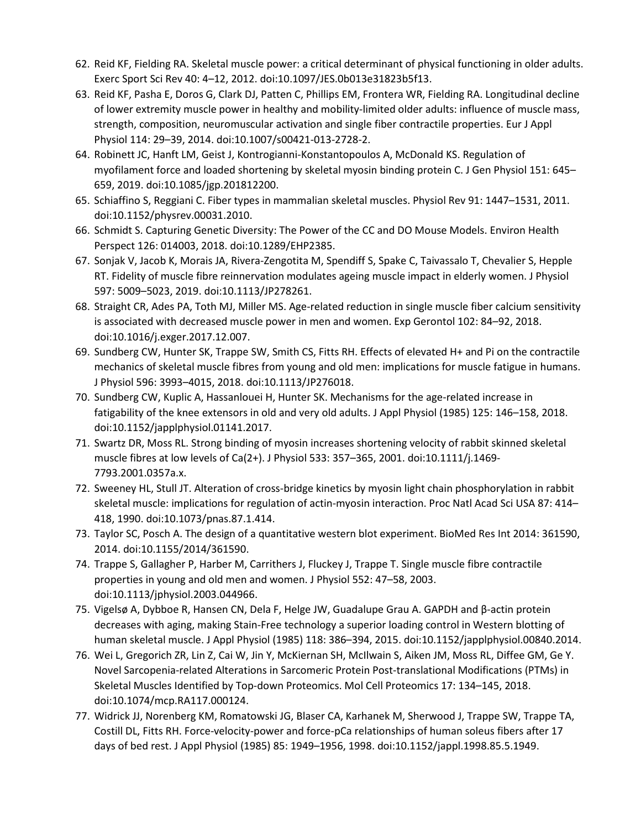- 62. Reid KF, Fielding RA. Skeletal muscle power: a critical determinant of physical functioning in older adults. Exerc Sport Sci Rev 40: 4–12, 2012. doi:10.1097/JES.0b013e31823b5f13.
- 63. Reid KF, Pasha E, Doros G, Clark DJ, Patten C, Phillips EM, Frontera WR, Fielding RA. Longitudinal decline of lower extremity muscle power in healthy and mobility-limited older adults: influence of muscle mass, strength, composition, neuromuscular activation and single fiber contractile properties. Eur J Appl Physiol 114: 29–39, 2014. doi:10.1007/s00421-013-2728-2.
- 64. Robinett JC, Hanft LM, Geist J, Kontrogianni-Konstantopoulos A, McDonald KS. Regulation of myofilament force and loaded shortening by skeletal myosin binding protein C. J Gen Physiol 151: 645– 659, 2019. doi:10.1085/jgp.201812200.
- 65. Schiaffino S, Reggiani C. Fiber types in mammalian skeletal muscles. Physiol Rev 91: 1447–1531, 2011. doi:10.1152/physrev.00031.2010.
- 66. Schmidt S. Capturing Genetic Diversity: The Power of the CC and DO Mouse Models. Environ Health Perspect 126: 014003, 2018. doi:10.1289/EHP2385.
- 67. Sonjak V, Jacob K, Morais JA, Rivera-Zengotita M, Spendiff S, Spake C, Taivassalo T, Chevalier S, Hepple RT. Fidelity of muscle fibre reinnervation modulates ageing muscle impact in elderly women. J Physiol 597: 5009–5023, 2019. doi:10.1113/JP278261.
- 68. Straight CR, Ades PA, Toth MJ, Miller MS. Age-related reduction in single muscle fiber calcium sensitivity is associated with decreased muscle power in men and women. Exp Gerontol 102: 84–92, 2018. doi:10.1016/j.exger.2017.12.007.
- 69. Sundberg CW, Hunter SK, Trappe SW, Smith CS, Fitts RH. Effects of elevated H+ and Pi on the contractile mechanics of skeletal muscle fibres from young and old men: implications for muscle fatigue in humans. J Physiol 596: 3993–4015, 2018. doi:10.1113/JP276018.
- 70. Sundberg CW, Kuplic A, Hassanlouei H, Hunter SK. Mechanisms for the age-related increase in fatigability of the knee extensors in old and very old adults. J Appl Physiol (1985) 125: 146–158, 2018. doi:10.1152/japplphysiol.01141.2017.
- 71. Swartz DR, Moss RL. Strong binding of myosin increases shortening velocity of rabbit skinned skeletal muscle fibres at low levels of Ca(2+). J Physiol 533: 357–365, 2001. doi:10.1111/j.1469- 7793.2001.0357a.x.
- 72. Sweeney HL, Stull JT. Alteration of cross-bridge kinetics by myosin light chain phosphorylation in rabbit skeletal muscle: implications for regulation of actin-myosin interaction. Proc Natl Acad Sci USA 87: 414– 418, 1990. doi:10.1073/pnas.87.1.414.
- 73. Taylor SC, Posch A. The design of a quantitative western blot experiment. BioMed Res Int 2014: 361590, 2014. doi:10.1155/2014/361590.
- 74. Trappe S, Gallagher P, Harber M, Carrithers J, Fluckey J, Trappe T. Single muscle fibre contractile properties in young and old men and women. J Physiol 552: 47–58, 2003. doi:10.1113/jphysiol.2003.044966.
- 75. Vigelsø A, Dybboe R, Hansen CN, Dela F, Helge JW, Guadalupe Grau A. GAPDH and β-actin protein decreases with aging, making Stain-Free technology a superior loading control in Western blotting of human skeletal muscle. J Appl Physiol (1985) 118: 386–394, 2015. doi:10.1152/japplphysiol.00840.2014.
- 76. Wei L, Gregorich ZR, Lin Z, Cai W, Jin Y, McKiernan SH, McIlwain S, Aiken JM, Moss RL, Diffee GM, Ge Y. Novel Sarcopenia-related Alterations in Sarcomeric Protein Post-translational Modifications (PTMs) in Skeletal Muscles Identified by Top-down Proteomics. Mol Cell Proteomics 17: 134–145, 2018. doi:10.1074/mcp.RA117.000124.
- 77. Widrick JJ, Norenberg KM, Romatowski JG, Blaser CA, Karhanek M, Sherwood J, Trappe SW, Trappe TA, Costill DL, Fitts RH. Force-velocity-power and force-pCa relationships of human soleus fibers after 17 days of bed rest. J Appl Physiol (1985) 85: 1949–1956, 1998. doi:10.1152/jappl.1998.85.5.1949.